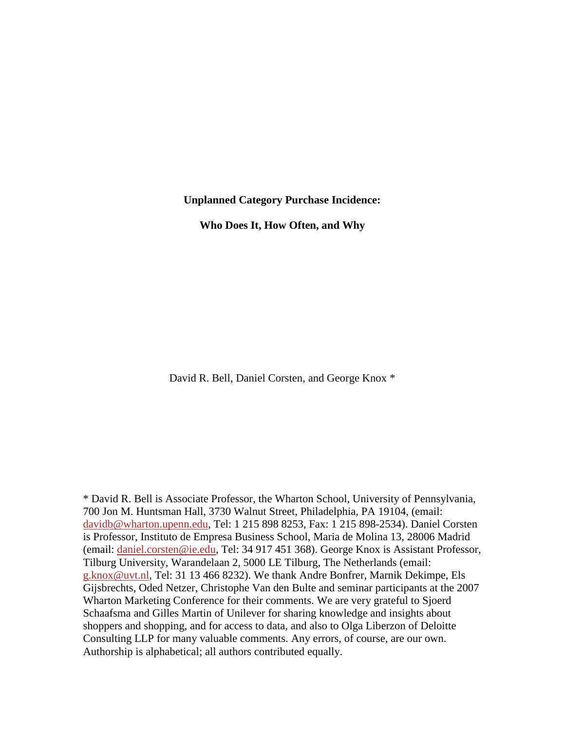#### **Unplanned Category Purchase Incidence:**

**Who Does It, How Often, and Why**

David R. Bell, Daniel Corsten, and George Knox \*

\* David R. Bell is Associate Professor, the Wharton School, University of Pennsylvania, 700 Jon M. Huntsman Hall, 3730 Walnut Street, Philadelphia, PA 19104, (email: [davidb@wharton.upenn.edu,](mailto:christian_hilber@fanniemae.com) Tel: 1 215 898 8253, Fax: 1 215 898-2534). Daniel Corsten is Professor, Instituto de Empresa Business School, Maria de Molina 13, 28006 Madrid (email: [daniel.corsten@ie.edu,](mailto:daniel.corsten@ie.edu) Tel: 34 917 451 368). George Knox is Assistant Professor, Tilburg University, Warandelaan 2, 5000 LE Tilburg, The Netherlands (email: [g.knox@uvt.nl,](mailto:g.knox@uvt.nl) Tel: 31 13 466 8232). We thank Andre Bonfrer, Marnik Dekimpe, Els Gijsbrechts, Oded Netzer, Christophe Van den Bulte and seminar participants at the 2007 Wharton Marketing Conference for their comments. We are very grateful to Sjoerd Schaafsma and Gilles Martin of Unilever for sharing knowledge and insights about shoppers and shopping, and for access to data, and also to Olga Liberzon of Deloitte Consulting LLP for many valuable comments. Any errors, of course, are our own. Authorship is alphabetical; all authors contributed equally.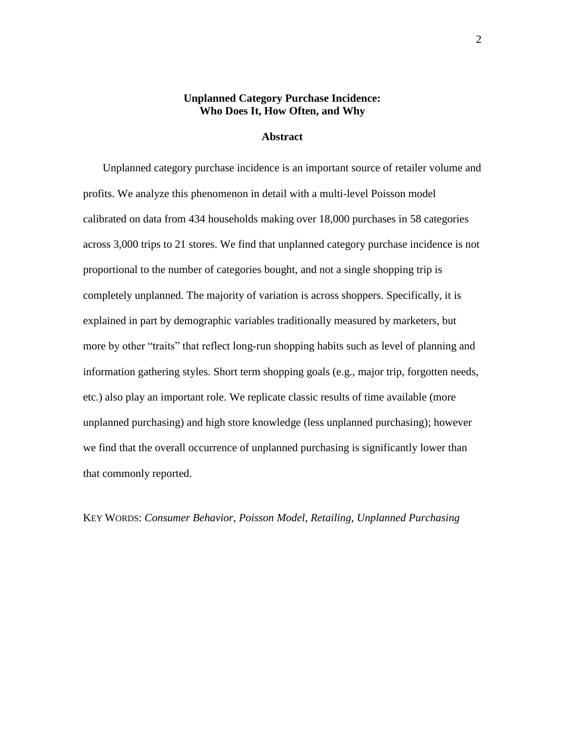## **Unplanned Category Purchase Incidence: Who Does It, How Often, and Why**

#### **Abstract**

Unplanned category purchase incidence is an important source of retailer volume and profits. We analyze this phenomenon in detail with a multi-level Poisson model calibrated on data from 434 households making over 18,000 purchases in 58 categories across 3,000 trips to 21 stores. We find that unplanned category purchase incidence is not proportional to the number of categories bought, and not a single shopping trip is completely unplanned. The majority of variation is across shoppers. Specifically, it is explained in part by demographic variables traditionally measured by marketers, but more by other "traits" that reflect long-run shopping habits such as level of planning and information gathering styles. Short term shopping goals (e.g., major trip, forgotten needs, etc.) also play an important role. We replicate classic results of time available (more unplanned purchasing) and high store knowledge (less unplanned purchasing); however we find that the overall occurrence of unplanned purchasing is significantly lower than that commonly reported.

KEY WORDS: *Consumer Behavior*, *Poisson Model*, *Retailing, Unplanned Purchasing*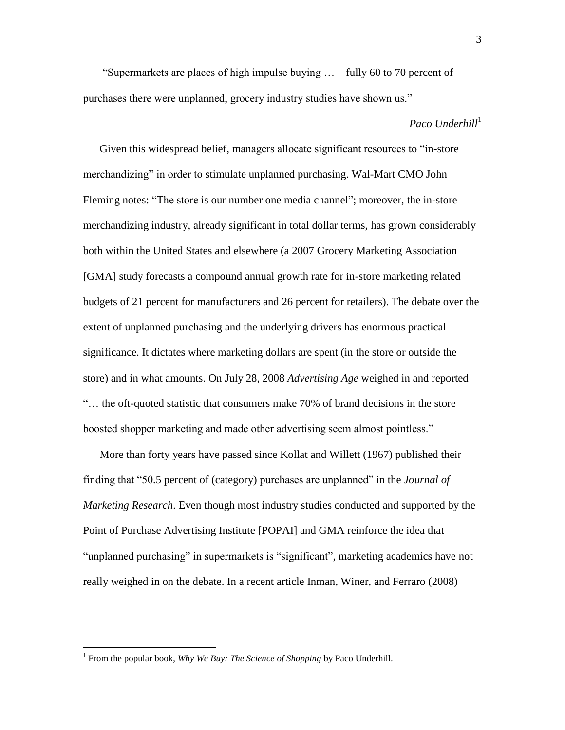"Supermarkets are places of high impulse buying  $\ldots$  – fully 60 to 70 percent of purchases there were unplanned, grocery industry studies have shown us."

## *Paco Underhill*<sup>1</sup>

Given this widespread belief, managers allocate significant resources to "in-store" merchandizing" in order to stimulate unplanned purchasing. Wal-Mart CMO John Fleming notes: "The store is our number one media channel"; moreover, the in-store merchandizing industry, already significant in total dollar terms, has grown considerably both within the United States and elsewhere (a 2007 Grocery Marketing Association [GMA] study forecasts a compound annual growth rate for in-store marketing related budgets of 21 percent for manufacturers and 26 percent for retailers). The debate over the extent of unplanned purchasing and the underlying drivers has enormous practical significance. It dictates where marketing dollars are spent (in the store or outside the store) and in what amounts. On July 28, 2008 *Advertising Age* weighed in and reported ―… the oft-quoted statistic that consumers make 70% of brand decisions in the store boosted shopper marketing and made other advertising seem almost pointless."

More than forty years have passed since Kollat and Willett (1967) published their finding that "50.5 percent of (category) purchases are unplanned" in the *Journal of Marketing Research*. Even though most industry studies conducted and supported by the Point of Purchase Advertising Institute [POPAI] and GMA reinforce the idea that "unplanned purchasing" in supermarkets is "significant", marketing academics have not really weighed in on the debate. In a recent article Inman, Winer, and Ferraro (2008)

<sup>&</sup>lt;sup>1</sup> From the popular book, *Why We Buy: The Science of Shopping* by Paco Underhill.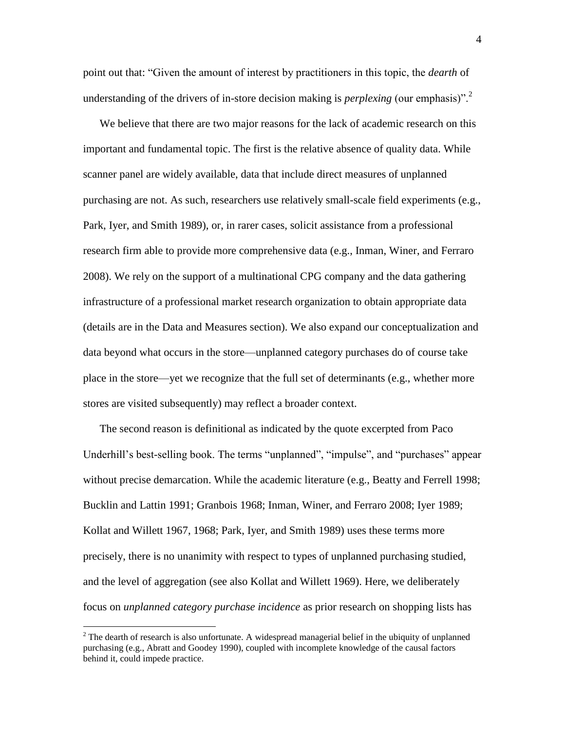point out that: ―Given the amount of interest by practitioners in this topic, the *dearth* of understanding of the drivers of in-store decision making is *perplexing* (our emphasis)".<sup>2</sup>

We believe that there are two major reasons for the lack of academic research on this important and fundamental topic. The first is the relative absence of quality data. While scanner panel are widely available, data that include direct measures of unplanned purchasing are not. As such, researchers use relatively small-scale field experiments (e.g., Park, Iyer, and Smith 1989), or, in rarer cases, solicit assistance from a professional research firm able to provide more comprehensive data (e.g., Inman, Winer, and Ferraro 2008). We rely on the support of a multinational CPG company and the data gathering infrastructure of a professional market research organization to obtain appropriate data (details are in the Data and Measures section). We also expand our conceptualization and data beyond what occurs in the store—unplanned category purchases do of course take place in the store—yet we recognize that the full set of determinants (e.g., whether more stores are visited subsequently) may reflect a broader context.

The second reason is definitional as indicated by the quote excerpted from Paco Underhill's best-selling book. The terms "unplanned", "impulse", and "purchases" appear without precise demarcation. While the academic literature (e.g., Beatty and Ferrell 1998; Bucklin and Lattin 1991; Granbois 1968; Inman, Winer, and Ferraro 2008; Iyer 1989; Kollat and Willett 1967, 1968; Park, Iyer, and Smith 1989) uses these terms more precisely, there is no unanimity with respect to types of unplanned purchasing studied, and the level of aggregation (see also Kollat and Willett 1969). Here, we deliberately focus on *unplanned category purchase incidence* as prior research on shopping lists has

 $2$  The dearth of research is also unfortunate. A widespread managerial belief in the ubiquity of unplanned purchasing (e.g., Abratt and Goodey 1990), coupled with incomplete knowledge of the causal factors behind it, could impede practice.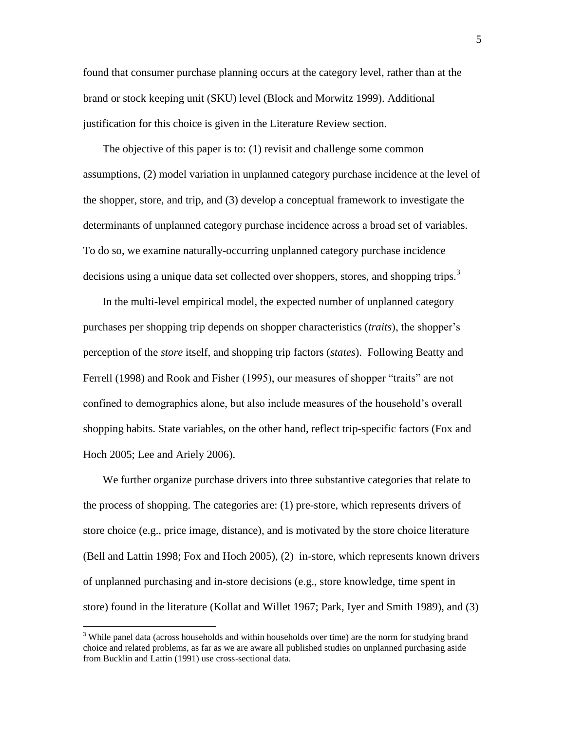found that consumer purchase planning occurs at the category level, rather than at the brand or stock keeping unit (SKU) level (Block and Morwitz 1999). Additional justification for this choice is given in the Literature Review section.

The objective of this paper is to: (1) revisit and challenge some common assumptions, (2) model variation in unplanned category purchase incidence at the level of the shopper, store, and trip, and (3) develop a conceptual framework to investigate the determinants of unplanned category purchase incidence across a broad set of variables. To do so, we examine naturally-occurring unplanned category purchase incidence decisions using a unique data set collected over shoppers, stores, and shopping trips.<sup>3</sup>

In the multi-level empirical model, the expected number of unplanned category purchases per shopping trip depends on shopper characteristics (*traits*), the shopper's perception of the *store* itself, and shopping trip factors (*states*). Following Beatty and Ferrell (1998) and Rook and Fisher (1995), our measures of shopper "traits" are not confined to demographics alone, but also include measures of the household's overall shopping habits. State variables, on the other hand, reflect trip-specific factors (Fox and Hoch 2005; Lee and Ariely 2006).

We further organize purchase drivers into three substantive categories that relate to the process of shopping. The categories are: (1) pre-store, which represents drivers of store choice (e.g., price image, distance), and is motivated by the store choice literature (Bell and Lattin 1998; Fox and Hoch 2005), (2) in-store, which represents known drivers of unplanned purchasing and in-store decisions (e.g., store knowledge, time spent in store) found in the literature (Kollat and Willet 1967; Park, Iyer and Smith 1989), and (3)

<sup>&</sup>lt;sup>3</sup> While panel data (across households and within households over time) are the norm for studying brand choice and related problems, as far as we are aware all published studies on unplanned purchasing aside from Bucklin and Lattin (1991) use cross-sectional data.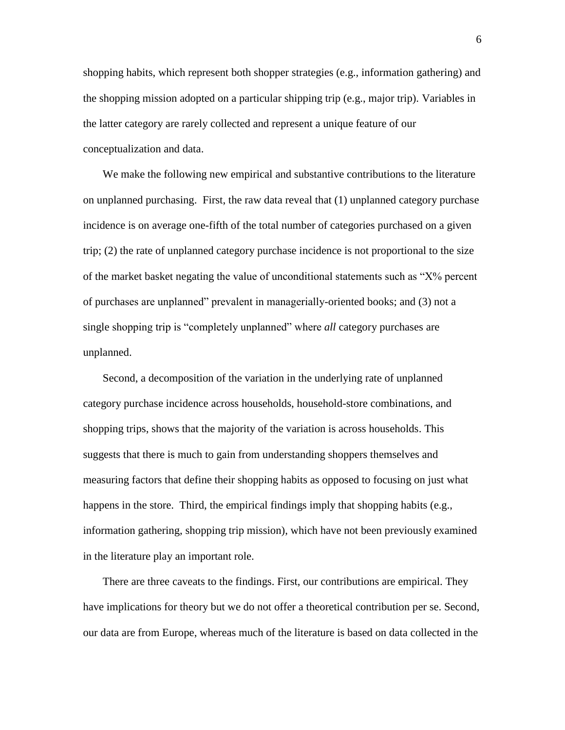shopping habits, which represent both shopper strategies (e.g., information gathering) and the shopping mission adopted on a particular shipping trip (e.g., major trip). Variables in the latter category are rarely collected and represent a unique feature of our conceptualization and data.

We make the following new empirical and substantive contributions to the literature on unplanned purchasing. First, the raw data reveal that (1) unplanned category purchase incidence is on average one-fifth of the total number of categories purchased on a given trip; (2) the rate of unplanned category purchase incidence is not proportional to the size of the market basket negating the value of unconditional statements such as  $X\%$  percent of purchases are unplanned" prevalent in managerially-oriented books; and (3) not a single shopping trip is "completely unplanned" where *all* category purchases are unplanned.

Second, a decomposition of the variation in the underlying rate of unplanned category purchase incidence across households, household-store combinations, and shopping trips, shows that the majority of the variation is across households. This suggests that there is much to gain from understanding shoppers themselves and measuring factors that define their shopping habits as opposed to focusing on just what happens in the store. Third, the empirical findings imply that shopping habits (e.g., information gathering, shopping trip mission), which have not been previously examined in the literature play an important role.

There are three caveats to the findings. First, our contributions are empirical. They have implications for theory but we do not offer a theoretical contribution per se. Second, our data are from Europe, whereas much of the literature is based on data collected in the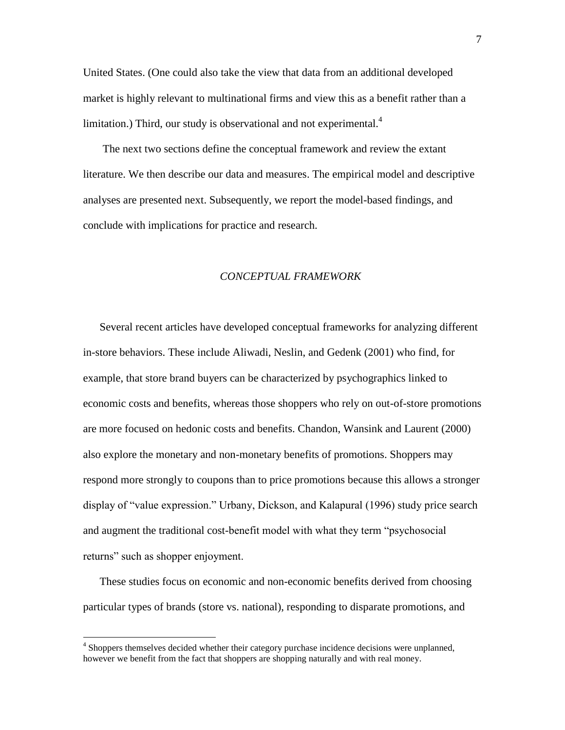United States. (One could also take the view that data from an additional developed market is highly relevant to multinational firms and view this as a benefit rather than a limitation.) Third, our study is observational and not experimental. $4$ 

The next two sections define the conceptual framework and review the extant literature. We then describe our data and measures. The empirical model and descriptive analyses are presented next. Subsequently, we report the model-based findings, and conclude with implications for practice and research.

#### *CONCEPTUAL FRAMEWORK*

Several recent articles have developed conceptual frameworks for analyzing different in-store behaviors. These include Aliwadi, Neslin, and Gedenk (2001) who find, for example, that store brand buyers can be characterized by psychographics linked to economic costs and benefits, whereas those shoppers who rely on out-of-store promotions are more focused on hedonic costs and benefits. Chandon, Wansink and Laurent (2000) also explore the monetary and non-monetary benefits of promotions. Shoppers may respond more strongly to coupons than to price promotions because this allows a stronger display of "value expression." Urbany, Dickson, and Kalapural (1996) study price search and augment the traditional cost-benefit model with what they term "psychosocial" returns" such as shopper enjoyment.

These studies focus on economic and non-economic benefits derived from choosing particular types of brands (store vs. national), responding to disparate promotions, and

<sup>&</sup>lt;sup>4</sup> Shoppers themselves decided whether their category purchase incidence decisions were unplanned, however we benefit from the fact that shoppers are shopping naturally and with real money.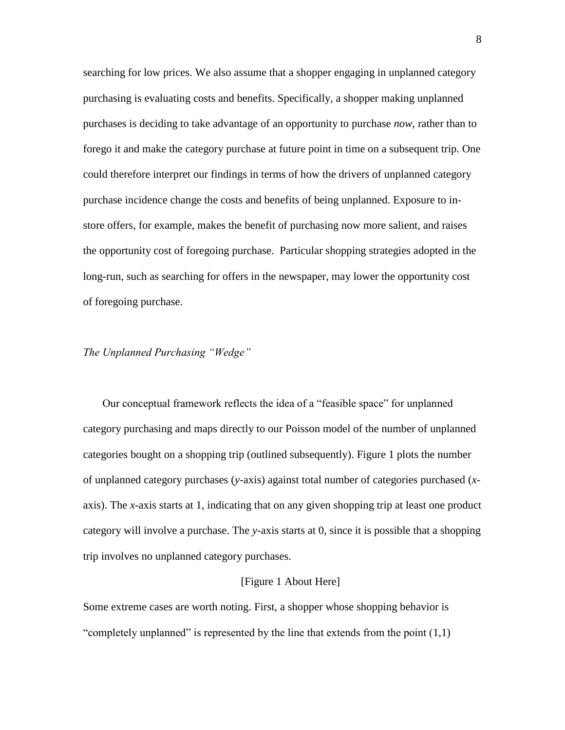searching for low prices. We also assume that a shopper engaging in unplanned category purchasing is evaluating costs and benefits. Specifically, a shopper making unplanned purchases is deciding to take advantage of an opportunity to purchase *now*, rather than to forego it and make the category purchase at future point in time on a subsequent trip. One could therefore interpret our findings in terms of how the drivers of unplanned category purchase incidence change the costs and benefits of being unplanned. Exposure to instore offers, for example, makes the benefit of purchasing now more salient, and raises the opportunity cost of foregoing purchase. Particular shopping strategies adopted in the long-run, such as searching for offers in the newspaper, may lower the opportunity cost of foregoing purchase.

## *The Unplanned Purchasing "Wedge"*

Our conceptual framework reflects the idea of a "feasible space" for unplanned category purchasing and maps directly to our Poisson model of the number of unplanned categories bought on a shopping trip (outlined subsequently). Figure 1 plots the number of unplanned category purchases (*y*-axis) against total number of categories purchased (*x*axis). The *x*-axis starts at 1, indicating that on any given shopping trip at least one product category will involve a purchase. The *y*-axis starts at 0, since it is possible that a shopping trip involves no unplanned category purchases.

### [Figure 1 About Here]

Some extreme cases are worth noting. First, a shopper whose shopping behavior is "completely unplanned" is represented by the line that extends from the point  $(1,1)$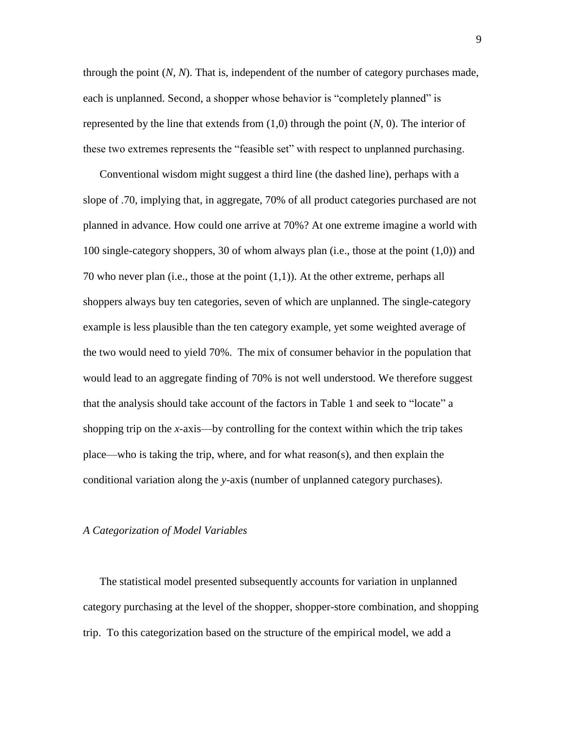through the point (*N*, *N*). That is, independent of the number of category purchases made, each is unplanned. Second, a shopper whose behavior is "completely planned" is represented by the line that extends from (1,0) through the point (*N*, 0). The interior of these two extremes represents the "feasible set" with respect to unplanned purchasing.

Conventional wisdom might suggest a third line (the dashed line), perhaps with a slope of .70, implying that, in aggregate, 70% of all product categories purchased are not planned in advance. How could one arrive at 70%? At one extreme imagine a world with 100 single-category shoppers, 30 of whom always plan (i.e., those at the point (1,0)) and 70 who never plan (i.e., those at the point (1,1)). At the other extreme, perhaps all shoppers always buy ten categories, seven of which are unplanned. The single-category example is less plausible than the ten category example, yet some weighted average of the two would need to yield 70%. The mix of consumer behavior in the population that would lead to an aggregate finding of 70% is not well understood. We therefore suggest that the analysis should take account of the factors in Table 1 and seek to "locate" a shopping trip on the *x*-axis—by controlling for the context within which the trip takes place—who is taking the trip, where, and for what reason(s), and then explain the conditional variation along the *y*-axis (number of unplanned category purchases).

#### *A Categorization of Model Variables*

The statistical model presented subsequently accounts for variation in unplanned category purchasing at the level of the shopper, shopper-store combination, and shopping trip. To this categorization based on the structure of the empirical model, we add a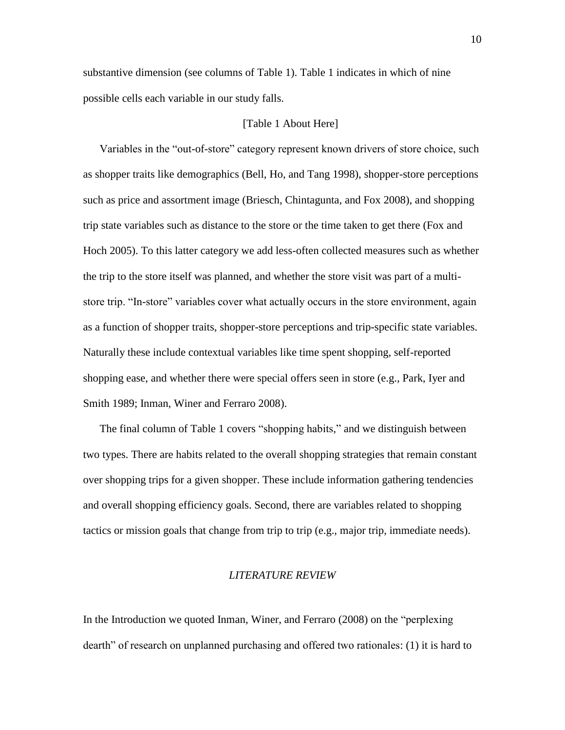substantive dimension (see columns of Table 1). Table 1 indicates in which of nine possible cells each variable in our study falls.

### [Table 1 About Here]

Variables in the "out-of-store" category represent known drivers of store choice, such as shopper traits like demographics (Bell, Ho, and Tang 1998), shopper-store perceptions such as price and assortment image (Briesch, Chintagunta, and Fox 2008), and shopping trip state variables such as distance to the store or the time taken to get there (Fox and Hoch 2005). To this latter category we add less-often collected measures such as whether the trip to the store itself was planned, and whether the store visit was part of a multistore trip. "In-store" variables cover what actually occurs in the store environment, again as a function of shopper traits, shopper-store perceptions and trip-specific state variables. Naturally these include contextual variables like time spent shopping, self-reported shopping ease, and whether there were special offers seen in store (e.g., Park, Iyer and Smith 1989; Inman, Winer and Ferraro 2008).

The final column of Table 1 covers "shopping habits," and we distinguish between two types. There are habits related to the overall shopping strategies that remain constant over shopping trips for a given shopper. These include information gathering tendencies and overall shopping efficiency goals. Second, there are variables related to shopping tactics or mission goals that change from trip to trip (e.g., major trip, immediate needs).

### *LITERATURE REVIEW*

In the Introduction we quoted Inman, Winer, and Ferraro (2008) on the "perplexing dearth" of research on unplanned purchasing and offered two rationales: (1) it is hard to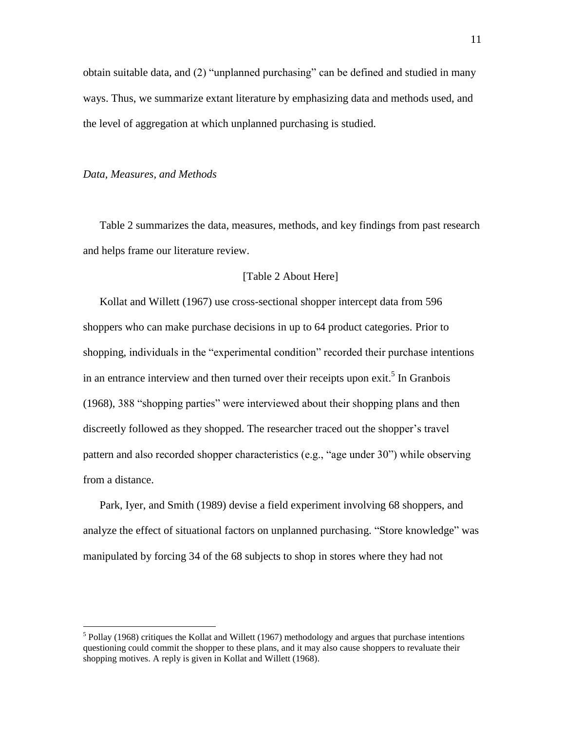obtain suitable data, and  $(2)$  "unplanned purchasing" can be defined and studied in many ways. Thus, we summarize extant literature by emphasizing data and methods used, and the level of aggregation at which unplanned purchasing is studied.

#### *Data, Measures, and Methods*

 $\overline{a}$ 

Table 2 summarizes the data, measures, methods, and key findings from past research and helps frame our literature review.

### [Table 2 About Here]

Kollat and Willett (1967) use cross-sectional shopper intercept data from 596 shoppers who can make purchase decisions in up to 64 product categories. Prior to shopping, individuals in the "experimental condition" recorded their purchase intentions in an entrance interview and then turned over their receipts upon exit.<sup>5</sup> In Granbois (1968), 388 "shopping parties" were interviewed about their shopping plans and then discreetly followed as they shopped. The researcher traced out the shopper's travel pattern and also recorded shopper characteristics (e.g., "age under  $30$ ") while observing from a distance.

Park, Iyer, and Smith (1989) devise a field experiment involving 68 shoppers, and analyze the effect of situational factors on unplanned purchasing. "Store knowledge" was manipulated by forcing 34 of the 68 subjects to shop in stores where they had not

 $<sup>5</sup>$  Pollay (1968) critiques the Kollat and Willett (1967) methodology and argues that purchase intentions</sup> questioning could commit the shopper to these plans, and it may also cause shoppers to revaluate their shopping motives. A reply is given in Kollat and Willett (1968).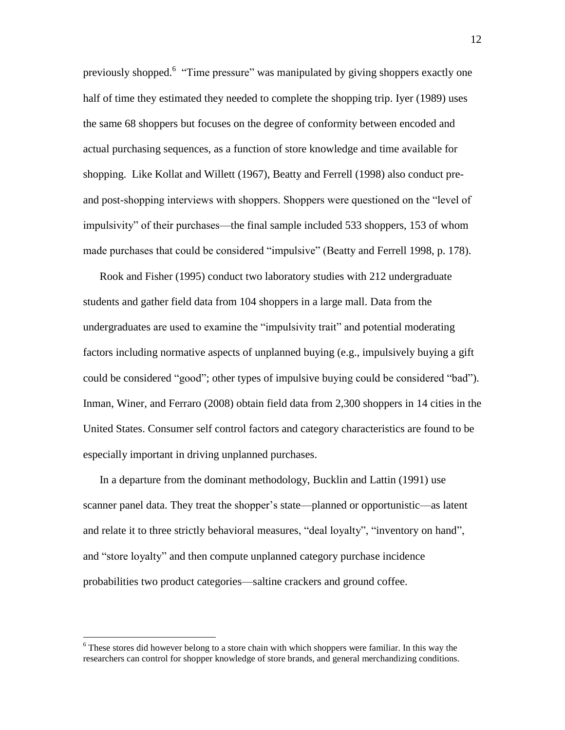previously shopped.<sup>6</sup> "Time pressure" was manipulated by giving shoppers exactly one half of time they estimated they needed to complete the shopping trip. Iyer (1989) uses the same 68 shoppers but focuses on the degree of conformity between encoded and actual purchasing sequences, as a function of store knowledge and time available for shopping. Like Kollat and Willett (1967), Beatty and Ferrell (1998) also conduct preand post-shopping interviews with shoppers. Shoppers were questioned on the "level of impulsivity" of their purchases—the final sample included 533 shoppers, 153 of whom made purchases that could be considered "impulsive" (Beatty and Ferrell 1998, p. 178).

Rook and Fisher (1995) conduct two laboratory studies with 212 undergraduate students and gather field data from 104 shoppers in a large mall. Data from the undergraduates are used to examine the "impulsivity trait" and potential moderating factors including normative aspects of unplanned buying (e.g., impulsively buying a gift could be considered "good"; other types of impulsive buying could be considered "bad"). Inman, Winer, and Ferraro (2008) obtain field data from 2,300 shoppers in 14 cities in the United States. Consumer self control factors and category characteristics are found to be especially important in driving unplanned purchases.

In a departure from the dominant methodology, Bucklin and Lattin (1991) use scanner panel data. They treat the shopper's state—planned or opportunistic—as latent and relate it to three strictly behavioral measures, "deal loyalty", "inventory on hand", and "store loyalty" and then compute unplanned category purchase incidence probabilities two product categories—saltine crackers and ground coffee.

 $6$  These stores did however belong to a store chain with which shoppers were familiar. In this way the researchers can control for shopper knowledge of store brands, and general merchandizing conditions.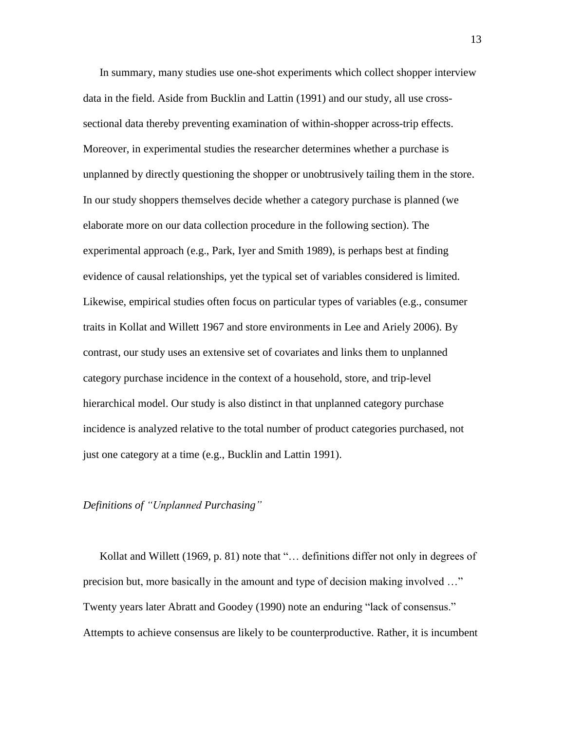In summary, many studies use one-shot experiments which collect shopper interview data in the field. Aside from Bucklin and Lattin (1991) and our study, all use crosssectional data thereby preventing examination of within-shopper across-trip effects. Moreover, in experimental studies the researcher determines whether a purchase is unplanned by directly questioning the shopper or unobtrusively tailing them in the store. In our study shoppers themselves decide whether a category purchase is planned (we elaborate more on our data collection procedure in the following section). The experimental approach (e.g., Park, Iyer and Smith 1989), is perhaps best at finding evidence of causal relationships, yet the typical set of variables considered is limited. Likewise, empirical studies often focus on particular types of variables (e.g., consumer traits in Kollat and Willett 1967 and store environments in Lee and Ariely 2006). By contrast, our study uses an extensive set of covariates and links them to unplanned category purchase incidence in the context of a household, store, and trip-level hierarchical model. Our study is also distinct in that unplanned category purchase incidence is analyzed relative to the total number of product categories purchased, not just one category at a time (e.g., Bucklin and Lattin 1991).

#### *Definitions of "Unplanned Purchasing"*

Kollat and Willett (1969, p. 81) note that "... definitions differ not only in degrees of precision but, more basically in the amount and type of decision making involved ..." Twenty years later Abratt and Goodey (1990) note an enduring "lack of consensus." Attempts to achieve consensus are likely to be counterproductive. Rather, it is incumbent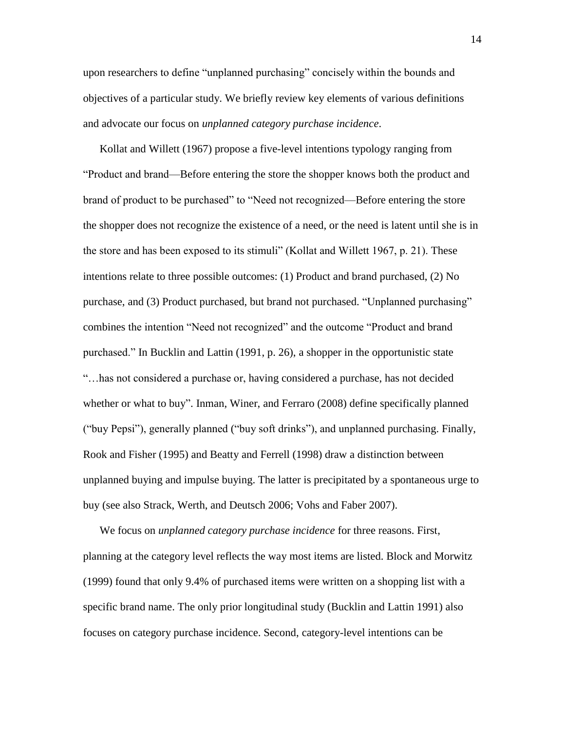upon researchers to define "unplanned purchasing" concisely within the bounds and objectives of a particular study. We briefly review key elements of various definitions and advocate our focus on *unplanned category purchase incidence*.

Kollat and Willett (1967) propose a five-level intentions typology ranging from ―Product and brand—Before entering the store the shopper knows both the product and brand of product to be purchased" to "Need not recognized—Before entering the store the shopper does not recognize the existence of a need, or the need is latent until she is in the store and has been exposed to its stimuli" (Kollat and Willett 1967, p. 21). These intentions relate to three possible outcomes: (1) Product and brand purchased, (2) No purchase, and (3) Product purchased, but brand not purchased. "Unplanned purchasing" combines the intention "Need not recognized" and the outcome "Product and brand purchased.‖ In Bucklin and Lattin (1991, p. 26), a shopper in the opportunistic state ―…has not considered a purchase or, having considered a purchase, has not decided whether or what to buy". Inman, Winer, and Ferraro (2008) define specifically planned ("buy Pepsi"), generally planned ("buy soft drinks"), and unplanned purchasing. Finally, Rook and Fisher (1995) and Beatty and Ferrell (1998) draw a distinction between unplanned buying and impulse buying. The latter is precipitated by a spontaneous urge to buy (see also Strack, Werth, and Deutsch 2006; Vohs and Faber 2007).

We focus on *unplanned category purchase incidence* for three reasons. First, planning at the category level reflects the way most items are listed. Block and Morwitz (1999) found that only 9.4% of purchased items were written on a shopping list with a specific brand name. The only prior longitudinal study (Bucklin and Lattin 1991) also focuses on category purchase incidence. Second, category-level intentions can be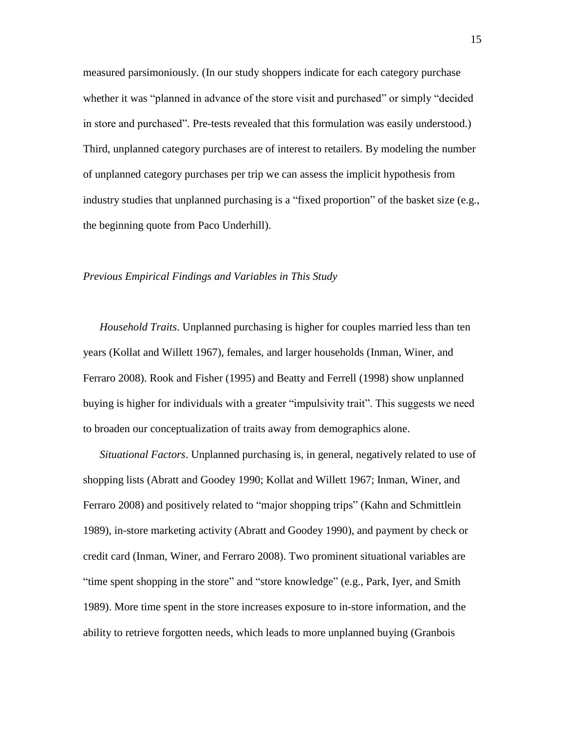measured parsimoniously. (In our study shoppers indicate for each category purchase whether it was "planned in advance of the store visit and purchased" or simply "decided in store and purchased". Pre-tests revealed that this formulation was easily understood.) Third, unplanned category purchases are of interest to retailers. By modeling the number of unplanned category purchases per trip we can assess the implicit hypothesis from industry studies that unplanned purchasing is a "fixed proportion" of the basket size (e.g., the beginning quote from Paco Underhill).

### *Previous Empirical Findings and Variables in This Study*

*Household Traits*. Unplanned purchasing is higher for couples married less than ten years (Kollat and Willett 1967), females, and larger households (Inman, Winer, and Ferraro 2008). Rook and Fisher (1995) and Beatty and Ferrell (1998) show unplanned buying is higher for individuals with a greater "impulsivity trait". This suggests we need to broaden our conceptualization of traits away from demographics alone.

*Situational Factors*. Unplanned purchasing is, in general, negatively related to use of shopping lists (Abratt and Goodey 1990; Kollat and Willett 1967; Inman, Winer, and Ferraro 2008) and positively related to "major shopping trips" (Kahn and Schmittlein 1989), in-store marketing activity (Abratt and Goodey 1990), and payment by check or credit card (Inman, Winer, and Ferraro 2008). Two prominent situational variables are "time spent shopping in the store" and "store knowledge" (e.g., Park, Iyer, and Smith 1989). More time spent in the store increases exposure to in-store information, and the ability to retrieve forgotten needs, which leads to more unplanned buying (Granbois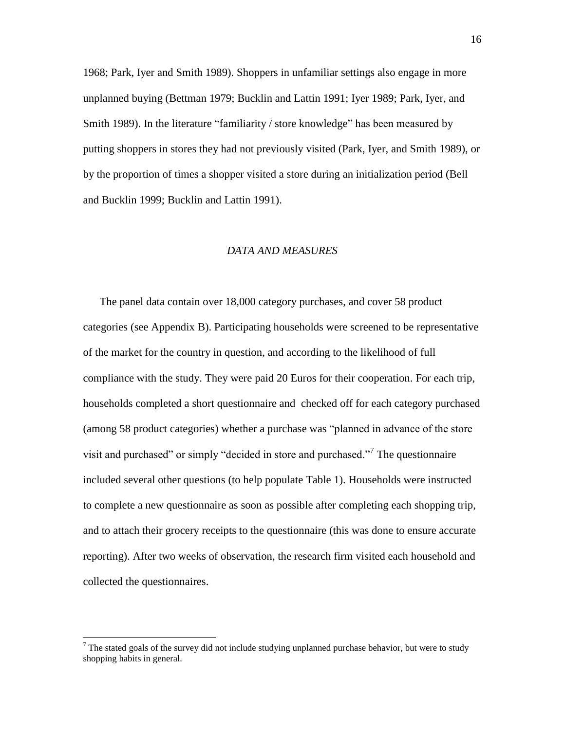1968; Park, Iyer and Smith 1989). Shoppers in unfamiliar settings also engage in more unplanned buying (Bettman 1979; Bucklin and Lattin 1991; Iyer 1989; Park, Iyer, and Smith 1989). In the literature "familiarity / store knowledge" has been measured by putting shoppers in stores they had not previously visited (Park, Iyer, and Smith 1989), or by the proportion of times a shopper visited a store during an initialization period (Bell and Bucklin 1999; Bucklin and Lattin 1991).

#### *DATA AND MEASURES*

The panel data contain over 18,000 category purchases, and cover 58 product categories (see Appendix B). Participating households were screened to be representative of the market for the country in question, and according to the likelihood of full compliance with the study. They were paid 20 Euros for their cooperation. For each trip, households completed a short questionnaire and checked off for each category purchased (among 58 product categories) whether a purchase was "planned in advance of the store visit and purchased" or simply "decided in store and purchased."<sup>7</sup> The questionnaire included several other questions (to help populate Table 1). Households were instructed to complete a new questionnaire as soon as possible after completing each shopping trip, and to attach their grocery receipts to the questionnaire (this was done to ensure accurate reporting). After two weeks of observation, the research firm visited each household and collected the questionnaires.

 $<sup>7</sup>$  The stated goals of the survey did not include studying unplanned purchase behavior, but were to study</sup> shopping habits in general.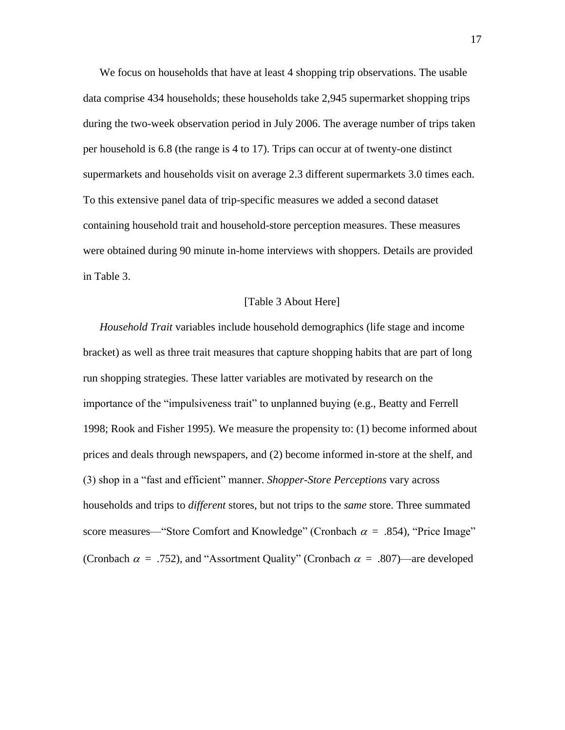We focus on households that have at least 4 shopping trip observations. The usable data comprise 434 households; these households take 2,945 supermarket shopping trips during the two-week observation period in July 2006. The average number of trips taken per household is 6.8 (the range is 4 to 17). Trips can occur at of twenty-one distinct supermarkets and households visit on average 2.3 different supermarkets 3.0 times each. To this extensive panel data of trip-specific measures we added a second dataset containing household trait and household-store perception measures. These measures were obtained during 90 minute in-home interviews with shoppers. Details are provided in Table 3.

#### [Table 3 About Here]

*Household Trait* variables include household demographics (life stage and income bracket) as well as three trait measures that capture shopping habits that are part of long run shopping strategies. These latter variables are motivated by research on the importance of the "impulsiveness trait" to unplanned buying (e.g., Beatty and Ferrell 1998; Rook and Fisher 1995). We measure the propensity to: (1) become informed about prices and deals through newspapers, and (2) become informed in-store at the shelf, and (3) shop in a "fast and efficient" manner. *Shopper-Store Perceptions* vary across households and trips to *different* stores, but not trips to the *same* store. Three summated score measures—"Store Comfort and Knowledge" (Cronbach  $\alpha = .854$ ), "Price Image" (Cronbach  $\alpha = .752$ ), and "Assortment Quality" (Cronbach  $\alpha = .807$ )—are developed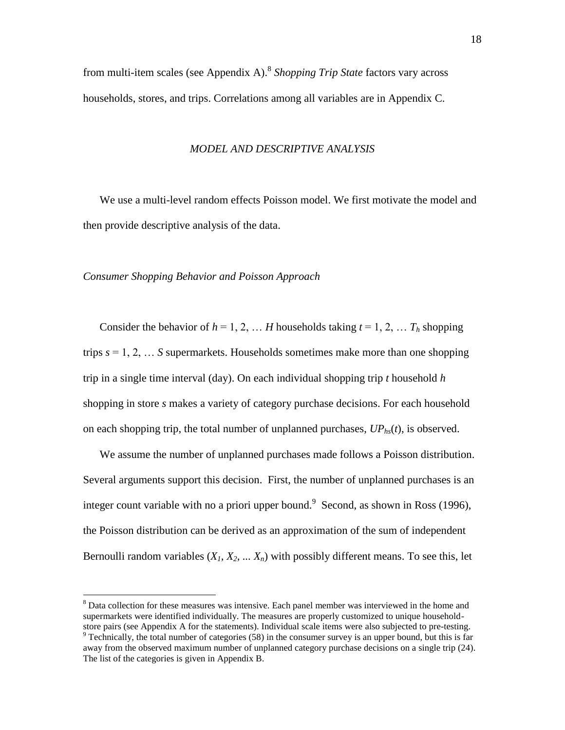from multi-item scales (see Appendix A). 8 *Shopping Trip State* factors vary across households, stores, and trips. Correlations among all variables are in Appendix C.

#### *MODEL AND DESCRIPTIVE ANALYSIS*

We use a multi-level random effects Poisson model. We first motivate the model and then provide descriptive analysis of the data.

*Consumer Shopping Behavior and Poisson Approach*

 $\overline{a}$ 

Consider the behavior of  $h = 1, 2, \ldots H$  households taking  $t = 1, 2, \ldots T_h$  shopping trips *s* = 1, 2, … *S* supermarkets. Households sometimes make more than one shopping trip in a single time interval (day). On each individual shopping trip *t* household *h*  shopping in store *s* makes a variety of category purchase decisions. For each household on each shopping trip, the total number of unplanned purchases,  $UP<sub>hs</sub>(t)$ , is observed.

We assume the number of unplanned purchases made follows a Poisson distribution. Several arguments support this decision. First, the number of unplanned purchases is an integer count variable with no a priori upper bound. Second, as shown in Ross (1996), the Poisson distribution can be derived as an approximation of the sum of independent Bernoulli random variables  $(X_1, X_2, \ldots, X_n)$  with possibly different means. To see this, let

<sup>&</sup>lt;sup>8</sup> Data collection for these measures was intensive. Each panel member was interviewed in the home and supermarkets were identified individually. The measures are properly customized to unique householdstore pairs (see Appendix A for the statements). Individual scale items were also subjected to pre-testing.

<sup>&</sup>lt;sup>9</sup> Technically, the total number of categories (58) in the consumer survey is an upper bound, but this is far away from the observed maximum number of unplanned category purchase decisions on a single trip (24). The list of the categories is given in Appendix B.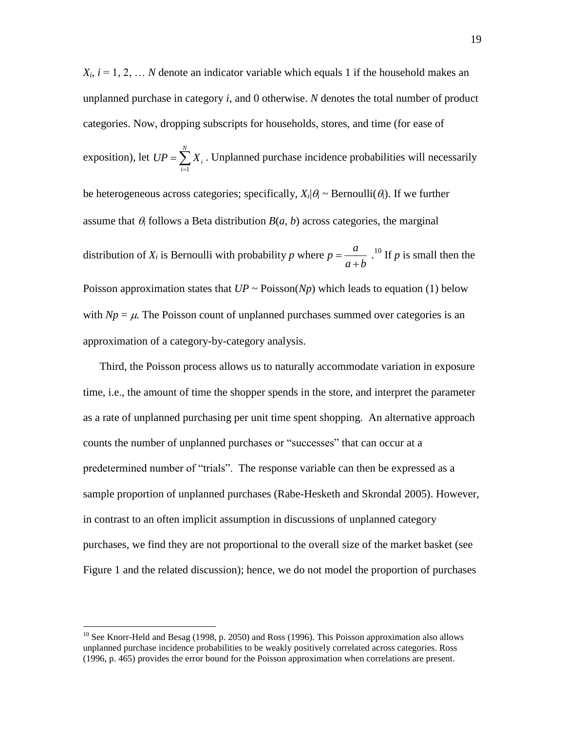$X_i$ ,  $i = 1, 2, \ldots N$  denote an indicator variable which equals 1 if the household makes an unplanned purchase in category *i*, and 0 otherwise. *N* denotes the total number of product categories. Now, dropping subscripts for households, stores, and time (for ease of exposition), let 1 *N i i*  $UP = \sum X$  $=\sum_{i=1}^{n} X_i$ . Unplanned purchase incidence probabilities will necessarily be heterogeneous across categories; specifically,  $X_i | \theta_i \sim \text{Bernoulli}(\theta_i)$ . If we further assume that  $\theta_i$  follows a Beta distribution  $B(a, b)$  across categories, the marginal distribution of  $X_i$  is Bernoulli with probability p where  $p = -\frac{a}{a}$  $a + b$  $=$  $\ddot{}$  $^{10}$  If *p* is small then the Poisson approximation states that  $UP \sim \text{Poisson}(Np)$  which leads to equation (1) below with  $Np = \mu$ . The Poisson count of unplanned purchases summed over categories is an approximation of a category-by-category analysis.

Third, the Poisson process allows us to naturally accommodate variation in exposure time, i.e., the amount of time the shopper spends in the store, and interpret the parameter as a rate of unplanned purchasing per unit time spent shopping. An alternative approach counts the number of unplanned purchases or "successes" that can occur at a predetermined number of "trials". The response variable can then be expressed as a sample proportion of unplanned purchases (Rabe-Hesketh and Skrondal 2005). However, in contrast to an often implicit assumption in discussions of unplanned category purchases, we find they are not proportional to the overall size of the market basket (see Figure 1 and the related discussion); hence, we do not model the proportion of purchases

 $10$  See Knorr-Held and Besag (1998, p. 2050) and Ross (1996). This Poisson approximation also allows unplanned purchase incidence probabilities to be weakly positively correlated across categories. Ross (1996, p. 465) provides the error bound for the Poisson approximation when correlations are present.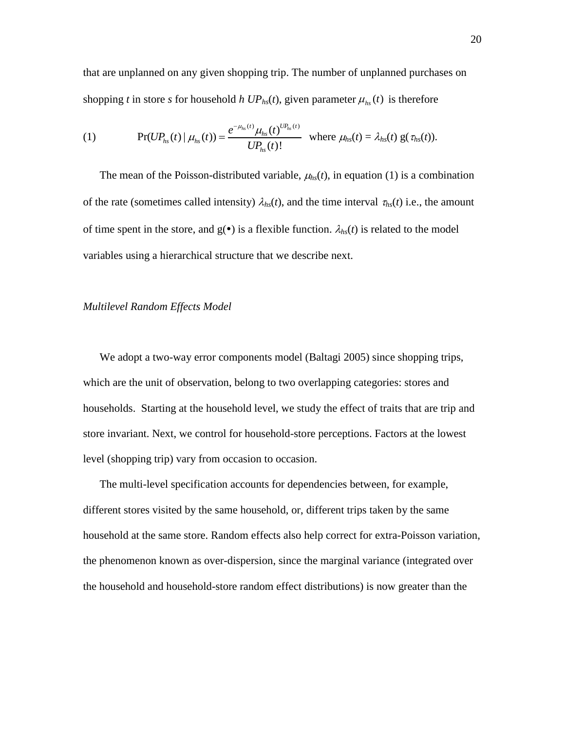that are unplanned on any given shopping trip. The number of unplanned purchases on shopping *t* in store *s* for household *h*  $UP_{hs}(t)$ , given parameter  $\mu_{hs}(t)$  is therefore

(1) 
$$
\Pr(UP_{hs}(t) | \mu_{hs}(t)) = \frac{e^{-\mu_{hs}(t)}\mu_{hs}(t)^{UP_{hs}(t)}}{UP_{hs}(t)!} \text{ where } \mu_{hs}(t) = \lambda_{hs}(t) \text{ g}(\tau_{hs}(t)).
$$

The mean of the Poisson-distributed variable,  $\mu_{hs}(t)$ , in equation (1) is a combination of the rate (sometimes called intensity)  $\lambda_{hs}(t)$ , and the time interval  $\tau_{hs}(t)$  i.e., the amount of time spent in the store, and  $g(\bullet)$  is a flexible function.  $\lambda_{hs}(t)$  is related to the model variables using a hierarchical structure that we describe next.

# *Multilevel Random Effects Model*

We adopt a two-way error components model (Baltagi 2005) since shopping trips, which are the unit of observation, belong to two overlapping categories: stores and households. Starting at the household level, we study the effect of traits that are trip and store invariant. Next, we control for household-store perceptions. Factors at the lowest level (shopping trip) vary from occasion to occasion.

The multi-level specification accounts for dependencies between, for example, different stores visited by the same household, or, different trips taken by the same household at the same store. Random effects also help correct for extra-Poisson variation, the phenomenon known as over-dispersion, since the marginal variance (integrated over the household and household-store random effect distributions) is now greater than the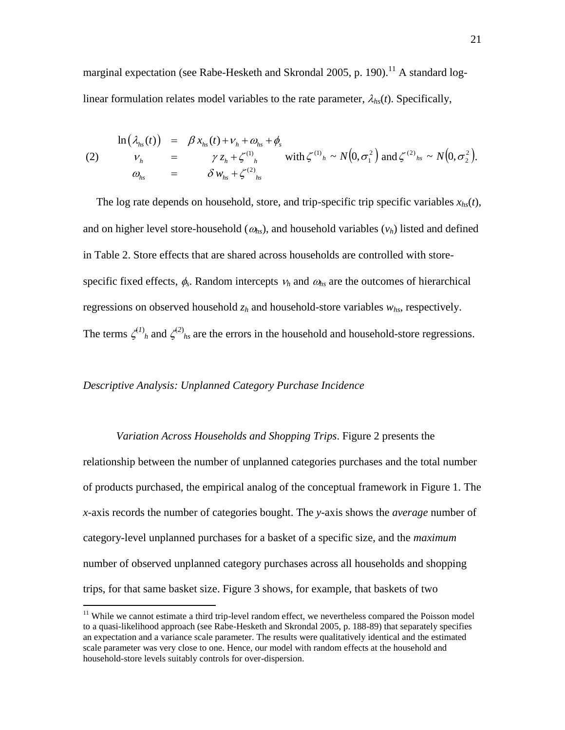marginal expectation (see Rabe-Hesketh and Skrondal 2005, p. 190).<sup>11</sup> A standard loglinear formulation relates model variables to the rate parameter,  $\lambda_{hs}(t)$ . Specifically,

$$
\ln(\lambda_{hs}(t)) = \beta x_{hs}(t) + v_{h} + \omega_{hs} + \phi_{s}
$$
\n(2) 
$$
\begin{aligned}\nv_{h} &= \gamma z_{h} + \zeta^{(1)}_{h} \quad \text{with } \zeta^{(1)}_{h} \sim N(0, \sigma_{1}^{2}) \text{ and } \zeta^{(2)}_{hs} \sim N(0, \sigma_{2}^{2}). \\
&\omega_{hs} &= \delta w_{hs} + \zeta^{(2)}_{hs}\n\end{aligned}
$$

The log rate depends on household, store, and trip-specific trip specific variables  $x_{hs}(t)$ , and on higher level store-household ( $\omega_{hs}$ ), and household variables ( $v_h$ ) listed and defined in Table 2. Store effects that are shared across households are controlled with storespecific fixed effects,  $\phi_s$ . Random intercepts  $v_h$  and  $\omega_{hs}$  are the outcomes of hierarchical regressions on observed household *z<sup>h</sup>* and household-store variables *whs*, respectively. The terms  $\zeta^{(1)}$ <sub>h</sub> and  $\zeta^{(2)}$ <sub>hs</sub> are the errors in the household and household-store regressions.

#### *Descriptive Analysis: Unplanned Category Purchase Incidence*

*Variation Across Households and Shopping Trips*. Figure 2 presents the relationship between the number of unplanned categories purchases and the total number of products purchased, the empirical analog of the conceptual framework in Figure 1. The *x*-axis records the number of categories bought. The *y*-axis shows the *average* number of category-level unplanned purchases for a basket of a specific size, and the *maximum* number of observed unplanned category purchases across all households and shopping

trips, for that same basket size. Figure 3 shows, for example, that baskets of two

<sup>&</sup>lt;sup>11</sup> While we cannot estimate a third trip-level random effect, we nevertheless compared the Poisson model to a quasi-likelihood approach (see Rabe-Hesketh and Skrondal 2005, p. 188-89) that separately specifies an expectation and a variance scale parameter. The results were qualitatively identical and the estimated scale parameter was very close to one. Hence, our model with random effects at the household and household-store levels suitably controls for over-dispersion.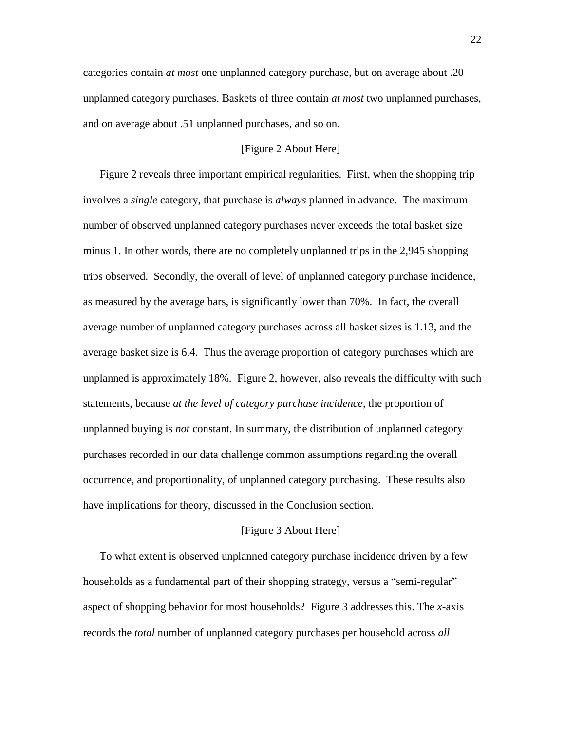categories contain *at most* one unplanned category purchase, but on average about .20 unplanned category purchases. Baskets of three contain *at most* two unplanned purchases, and on average about .51 unplanned purchases, and so on.

# [Figure 2 About Here]

Figure 2 reveals three important empirical regularities. First, when the shopping trip involves a *single* category, that purchase is *always* planned in advance. The maximum number of observed unplanned category purchases never exceeds the total basket size minus 1. In other words, there are no completely unplanned trips in the 2,945 shopping trips observed. Secondly, the overall of level of unplanned category purchase incidence, as measured by the average bars, is significantly lower than 70%. In fact, the overall average number of unplanned category purchases across all basket sizes is 1.13, and the average basket size is 6.4. Thus the average proportion of category purchases which are unplanned is approximately 18%. Figure 2, however, also reveals the difficulty with such statements, because *at the level of category purchase incidence*, the proportion of unplanned buying is *not* constant. In summary, the distribution of unplanned category purchases recorded in our data challenge common assumptions regarding the overall occurrence, and proportionality, of unplanned category purchasing. These results also have implications for theory, discussed in the Conclusion section.

#### [Figure 3 About Here]

To what extent is observed unplanned category purchase incidence driven by a few households as a fundamental part of their shopping strategy, versus a "semi-regular" aspect of shopping behavior for most households? Figure 3 addresses this. The *x*-axis records the *total* number of unplanned category purchases per household across *all*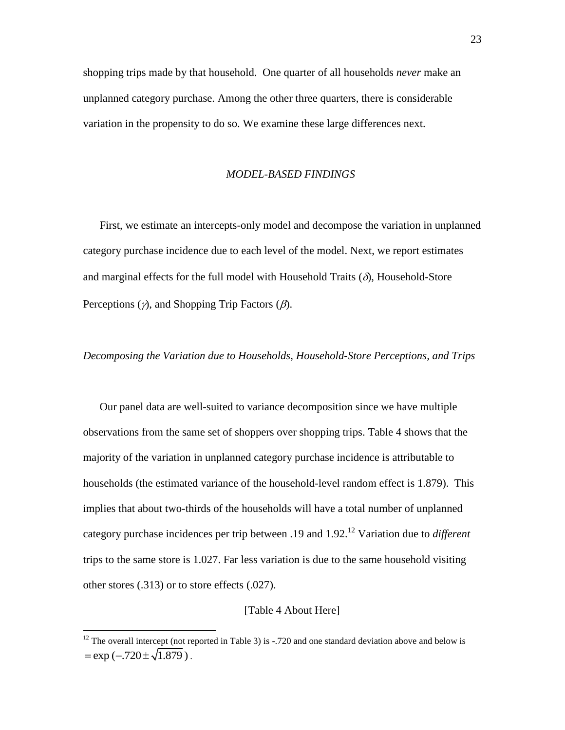shopping trips made by that household. One quarter of all households *never* make an unplanned category purchase. Among the other three quarters, there is considerable variation in the propensity to do so. We examine these large differences next.

#### *MODEL-BASED FINDINGS*

First, we estimate an intercepts-only model and decompose the variation in unplanned category purchase incidence due to each level of the model. Next, we report estimates and marginal effects for the full model with Household Traits  $(\delta)$ , Household-Store Perceptions  $(\gamma)$ , and Shopping Trip Factors  $(\beta)$ .

### *Decomposing the Variation due to Households, Household-Store Perceptions, and Trips*

Our panel data are well-suited to variance decomposition since we have multiple observations from the same set of shoppers over shopping trips. Table 4 shows that the majority of the variation in unplanned category purchase incidence is attributable to households (the estimated variance of the household-level random effect is 1.879). This implies that about two-thirds of the households will have a total number of unplanned category purchase incidences per trip between .19 and 1.92. <sup>12</sup> Variation due to *different* trips to the same store is 1.027. Far less variation is due to the same household visiting other stores (.313) or to store effects (.027).

### [Table 4 About Here]

 $12$  The overall intercept (not reported in Table 3) is -.720 and one standard deviation above and below is  $=\exp(-.720 \pm \sqrt{1.879})$ .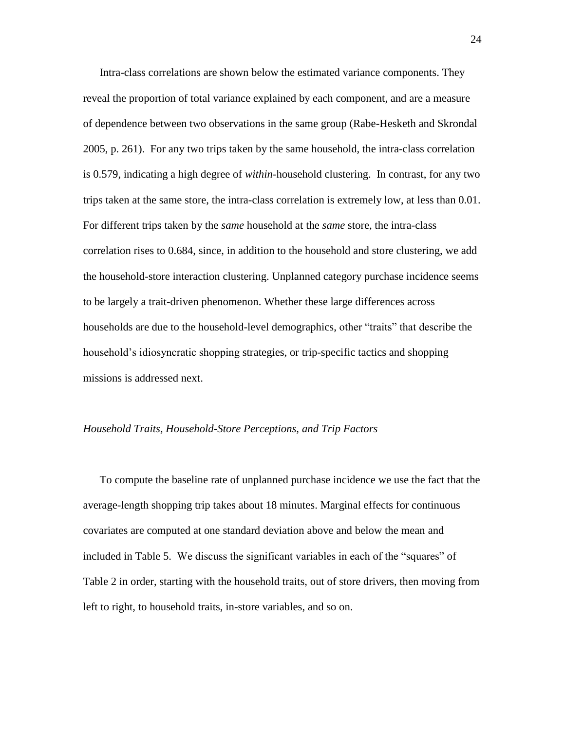Intra-class correlations are shown below the estimated variance components. They reveal the proportion of total variance explained by each component, and are a measure of dependence between two observations in the same group (Rabe-Hesketh and Skrondal 2005, p. 261). For any two trips taken by the same household, the intra-class correlation is 0.579, indicating a high degree of *within-*household clustering. In contrast, for any two trips taken at the same store, the intra-class correlation is extremely low, at less than 0.01. For different trips taken by the *same* household at the *same* store, the intra-class correlation rises to 0.684, since, in addition to the household and store clustering, we add the household-store interaction clustering. Unplanned category purchase incidence seems to be largely a trait-driven phenomenon. Whether these large differences across households are due to the household-level demographics, other "traits" that describe the household's idiosyncratic shopping strategies, or trip-specific tactics and shopping missions is addressed next.

#### *Household Traits, Household-Store Perceptions, and Trip Factors*

To compute the baseline rate of unplanned purchase incidence we use the fact that the average-length shopping trip takes about 18 minutes. Marginal effects for continuous covariates are computed at one standard deviation above and below the mean and included in Table 5. We discuss the significant variables in each of the "squares" of Table 2 in order, starting with the household traits, out of store drivers, then moving from left to right, to household traits, in-store variables, and so on.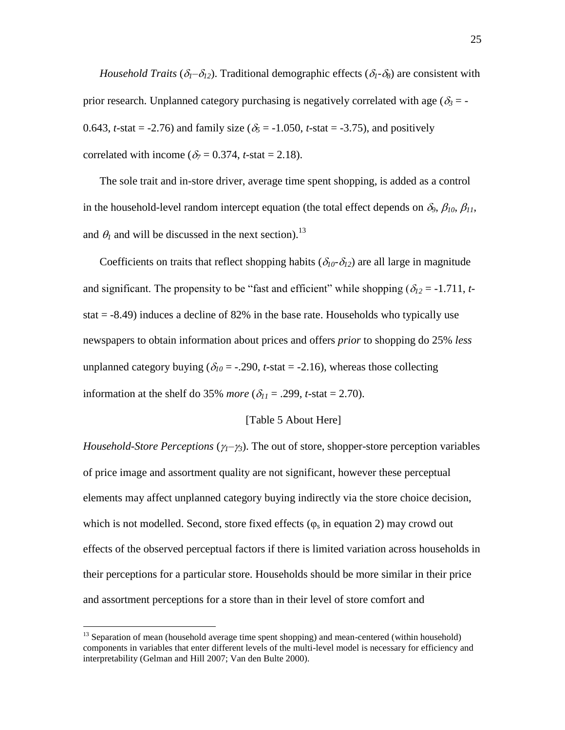*Household Traits* ( $\delta_1 - \delta_2$ ). Traditional demographic effects ( $\delta_1 - \delta_8$ ) are consistent with prior research. Unplanned category purchasing is negatively correlated with age  $(\delta_3 = -1)$ 0.643, *t*-stat = -2.76) and family size ( $\delta_5$  = -1.050, *t*-stat = -3.75), and positively correlated with income ( $\delta_7 = 0.374$ , *t*-stat = 2.18).

The sole trait and in-store driver, average time spent shopping, is added as a control in the household-level random intercept equation (the total effect depends on  $\delta_9$ ,  $\beta_{10}$ ,  $\beta_{11}$ , and  $\theta_l$  and will be discussed in the next section).<sup>13</sup>

Coefficients on traits that reflect shopping habits ( $\delta_{10}$ - $\delta_{12}$ ) are all large in magnitude and significant. The propensity to be "fast and efficient" while shopping ( $\delta_{12}$  = -1.711, *t*stat  $= -8.49$ ) induces a decline of 82% in the base rate. Households who typically use newspapers to obtain information about prices and offers *prior* to shopping do 25% *less* unplanned category buying ( $\delta_{10}$  = -.290, *t*-stat = -2.16), whereas those collecting information at the shelf do 35% *more* ( $\delta_{11}$  = .299, *t*-stat = 2.70).

#### [Table 5 About Here]

*Household-Store Perceptions* ( $\gamma_1$ – $\gamma_3$ ). The out of store, shopper-store perception variables of price image and assortment quality are not significant, however these perceptual elements may affect unplanned category buying indirectly via the store choice decision, which is not modelled. Second, store fixed effects  $(\varphi_s)$  in equation 2) may crowd out effects of the observed perceptual factors if there is limited variation across households in their perceptions for a particular store. Households should be more similar in their price and assortment perceptions for a store than in their level of store comfort and

<sup>&</sup>lt;sup>13</sup> Separation of mean (household average time spent shopping) and mean-centered (within household) components in variables that enter different levels of the multi-level model is necessary for efficiency and interpretability (Gelman and Hill 2007; Van den Bulte 2000).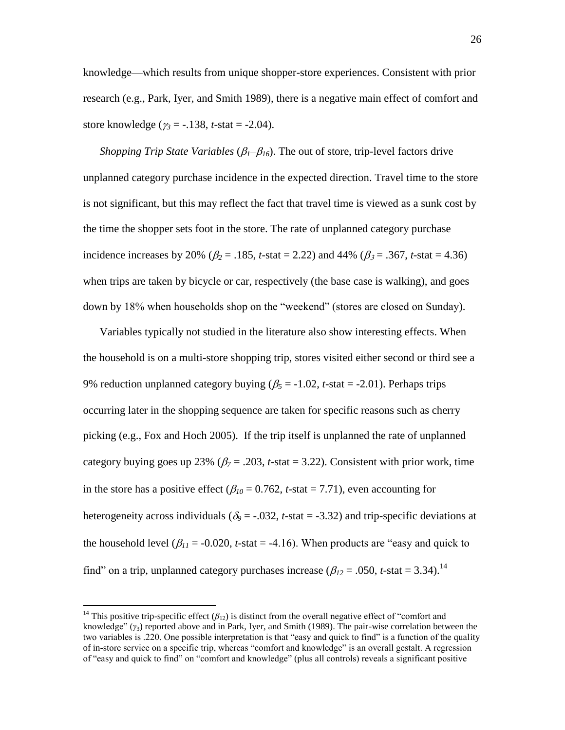knowledge—which results from unique shopper-store experiences. Consistent with prior research (e.g., Park, Iyer, and Smith 1989), there is a negative main effect of comfort and store knowledge ( $\gamma_3 = -138$ , *t*-stat = -2.04).

*Shopping Trip State Variables* ( $\beta_1$ – $\beta_1$ <sub>6</sub>). The out of store, trip-level factors drive unplanned category purchase incidence in the expected direction. Travel time to the store is not significant, but this may reflect the fact that travel time is viewed as a sunk cost by the time the shopper sets foot in the store. The rate of unplanned category purchase incidence increases by 20% ( $\beta_2$  = .185, *t*-stat = 2.22) and 44% ( $\beta_3$  = .367, *t*-stat = 4.36) when trips are taken by bicycle or car, respectively (the base case is walking), and goes down by 18% when households shop on the "weekend" (stores are closed on Sunday).

Variables typically not studied in the literature also show interesting effects. When the household is on a multi-store shopping trip, stores visited either second or third see a 9% reduction unplanned category buying  $(\beta_5 = -1.02, t\text{-stat} = -2.01)$ . Perhaps trips occurring later in the shopping sequence are taken for specific reasons such as cherry picking (e.g., Fox and Hoch 2005). If the trip itself is unplanned the rate of unplanned category buying goes up 23% ( $\beta$ <sub>7</sub> = .203, *t*-stat = 3.22). Consistent with prior work, time in the store has a positive effect ( $\beta_{10} = 0.762$ , *t*-stat = 7.71), even accounting for heterogeneity across individuals ( $\delta$ <sub>2</sub> = -.032, *t*-stat = -3.32) and trip-specific deviations at the household level ( $\beta_{11}$  = -0.020, *t*-stat = -4.16). When products are "easy and quick to find" on a trip, unplanned category purchases increase ( $\beta_{12}$  = .050, *t*-stat = 3.34).<sup>14</sup>

<sup>&</sup>lt;sup>14</sup> This positive trip-specific effect ( $\beta_{12}$ ) is distinct from the overall negative effect of "comfort and knowledge‖ (*γ*3) reported above and in Park, Iyer, and Smith (1989). The pair-wise correlation between the two variables is .220. One possible interpretation is that "easy and quick to find" is a function of the quality of in-store service on a specific trip, whereas "comfort and knowledge" is an overall gestalt. A regression of "easy and quick to find" on "comfort and knowledge" (plus all controls) reveals a significant positive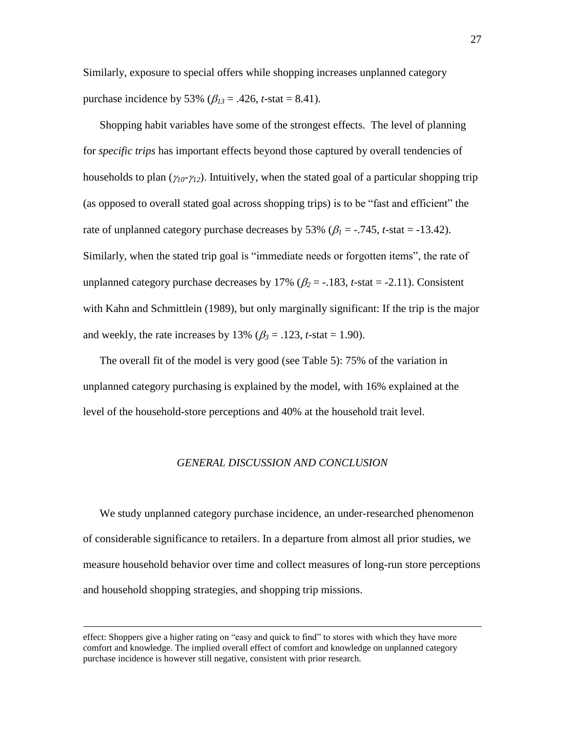Similarly, exposure to special offers while shopping increases unplanned category purchase incidence by 53% ( $\beta_{13} = .426$ , *t*-stat = 8.41).

Shopping habit variables have some of the strongest effects. The level of planning for *specific trips* has important effects beyond those captured by overall tendencies of households to plan  $(\gamma_{10} - \gamma_{12})$ . Intuitively, when the stated goal of a particular shopping trip (as opposed to overall stated goal across shopping trips) is to be "fast and efficient" the rate of unplanned category purchase decreases by 53% ( $\beta_1$  = -.745, *t*-stat = -13.42). Similarly, when the stated trip goal is "immediate needs or forgotten items", the rate of unplanned category purchase decreases by 17% ( $\beta_2$  = -.183, *t*-stat = -2.11). Consistent with Kahn and Schmittlein (1989), but only marginally significant: If the trip is the major and weekly, the rate increases by 13% ( $\beta_3$  = .123, *t*-stat = 1.90).

The overall fit of the model is very good (see Table 5): 75% of the variation in unplanned category purchasing is explained by the model, with 16% explained at the level of the household-store perceptions and 40% at the household trait level.

#### *GENERAL DISCUSSION AND CONCLUSION*

We study unplanned category purchase incidence, an under-researched phenomenon of considerable significance to retailers. In a departure from almost all prior studies, we measure household behavior over time and collect measures of long-run store perceptions and household shopping strategies, and shopping trip missions.

effect: Shoppers give a higher rating on "easy and quick to find" to stores with which they have more comfort and knowledge. The implied overall effect of comfort and knowledge on unplanned category purchase incidence is however still negative, consistent with prior research.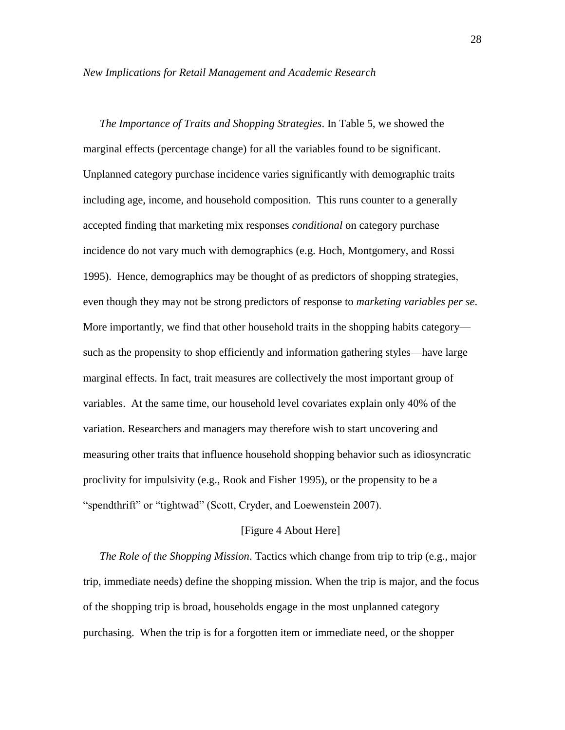#### *New Implications for Retail Management and Academic Research*

*The Importance of Traits and Shopping Strategies*. In Table 5, we showed the marginal effects (percentage change) for all the variables found to be significant. Unplanned category purchase incidence varies significantly with demographic traits including age, income, and household composition. This runs counter to a generally accepted finding that marketing mix responses *conditional* on category purchase incidence do not vary much with demographics (e.g. Hoch, Montgomery, and Rossi 1995). Hence, demographics may be thought of as predictors of shopping strategies, even though they may not be strong predictors of response to *marketing variables per se*. More importantly, we find that other household traits in the shopping habits category such as the propensity to shop efficiently and information gathering styles—have large marginal effects. In fact, trait measures are collectively the most important group of variables. At the same time, our household level covariates explain only 40% of the variation. Researchers and managers may therefore wish to start uncovering and measuring other traits that influence household shopping behavior such as idiosyncratic proclivity for impulsivity (e.g., Rook and Fisher 1995), or the propensity to be a "spendthrift" or "tightwad" (Scott, Cryder, and Loewenstein 2007).

#### [Figure 4 About Here]

*The Role of the Shopping Mission.* Tactics which change from trip to trip (e.g., major trip, immediate needs) define the shopping mission. When the trip is major, and the focus of the shopping trip is broad, households engage in the most unplanned category purchasing. When the trip is for a forgotten item or immediate need, or the shopper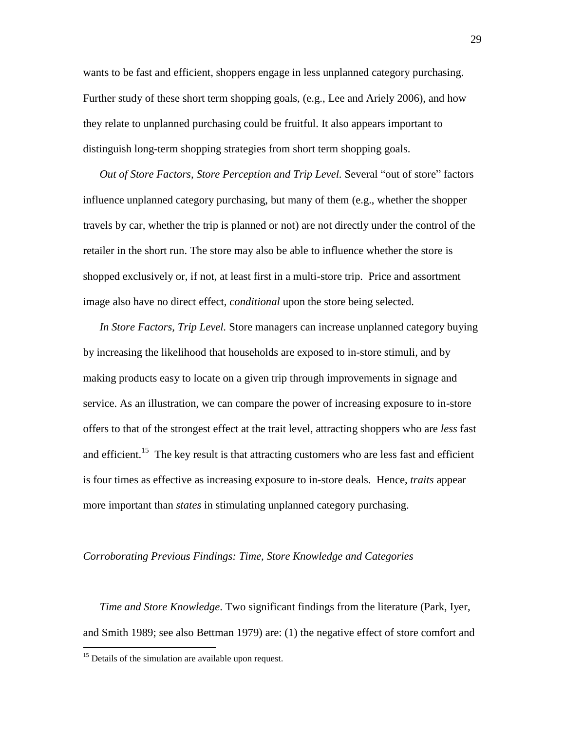wants to be fast and efficient, shoppers engage in less unplanned category purchasing. Further study of these short term shopping goals, (e.g., Lee and Ariely 2006), and how they relate to unplanned purchasing could be fruitful. It also appears important to distinguish long-term shopping strategies from short term shopping goals.

*Out of Store Factors, Store Perception and Trip Level. Several "out of store" factors* influence unplanned category purchasing, but many of them (e.g., whether the shopper travels by car, whether the trip is planned or not) are not directly under the control of the retailer in the short run. The store may also be able to influence whether the store is shopped exclusively or, if not, at least first in a multi-store trip. Price and assortment image also have no direct effect, *conditional* upon the store being selected.

*In Store Factors, Trip Level.* Store managers can increase unplanned category buying by increasing the likelihood that households are exposed to in-store stimuli, and by making products easy to locate on a given trip through improvements in signage and service. As an illustration, we can compare the power of increasing exposure to in-store offers to that of the strongest effect at the trait level, attracting shoppers who are *less* fast and efficient.<sup>15</sup> The key result is that attracting customers who are less fast and efficient is four times as effective as increasing exposure to in-store deals. Hence, *traits* appear more important than *states* in stimulating unplanned category purchasing.

### *Corroborating Previous Findings: Time, Store Knowledge and Categories*

*Time and Store Knowledge*. Two significant findings from the literature (Park, Iyer, and Smith 1989; see also Bettman 1979) are: (1) the negative effect of store comfort and

<sup>&</sup>lt;sup>15</sup> Details of the simulation are available upon request.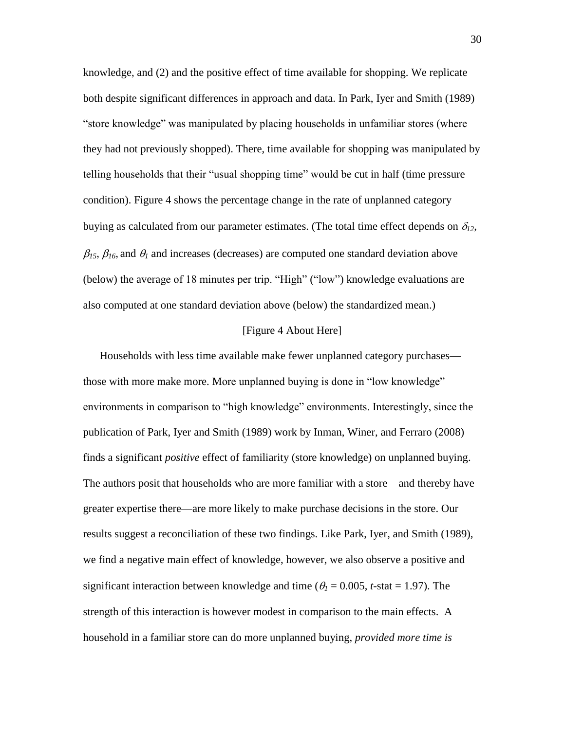knowledge, and (2) and the positive effect of time available for shopping. We replicate both despite significant differences in approach and data. In Park, Iyer and Smith (1989) "store knowledge" was manipulated by placing households in unfamiliar stores (where they had not previously shopped). There, time available for shopping was manipulated by telling households that their "usual shopping time" would be cut in half (time pressure condition). Figure 4 shows the percentage change in the rate of unplanned category buying as calculated from our parameter estimates. (The total time effect depends on  $\delta_{12}$ ,  $\beta_{15}$ ,  $\beta_{16}$ , and  $\theta_1$  and increases (decreases) are computed one standard deviation above (below) the average of 18 minutes per trip. "High" ("low") knowledge evaluations are also computed at one standard deviation above (below) the standardized mean.)

## [Figure 4 About Here]

Households with less time available make fewer unplanned category purchases those with more make more. More unplanned buying is done in "low knowledge" environments in comparison to "high knowledge" environments. Interestingly, since the publication of Park, Iyer and Smith (1989) work by Inman, Winer, and Ferraro (2008) finds a significant *positive* effect of familiarity (store knowledge) on unplanned buying. The authors posit that households who are more familiar with a store—and thereby have greater expertise there—are more likely to make purchase decisions in the store. Our results suggest a reconciliation of these two findings. Like Park, Iyer, and Smith (1989), we find a negative main effect of knowledge, however, we also observe a positive and significant interaction between knowledge and time ( $\theta$ <sub>I</sub> = 0.005, *t*-stat = 1.97). The strength of this interaction is however modest in comparison to the main effects. A household in a familiar store can do more unplanned buying, *provided more time is*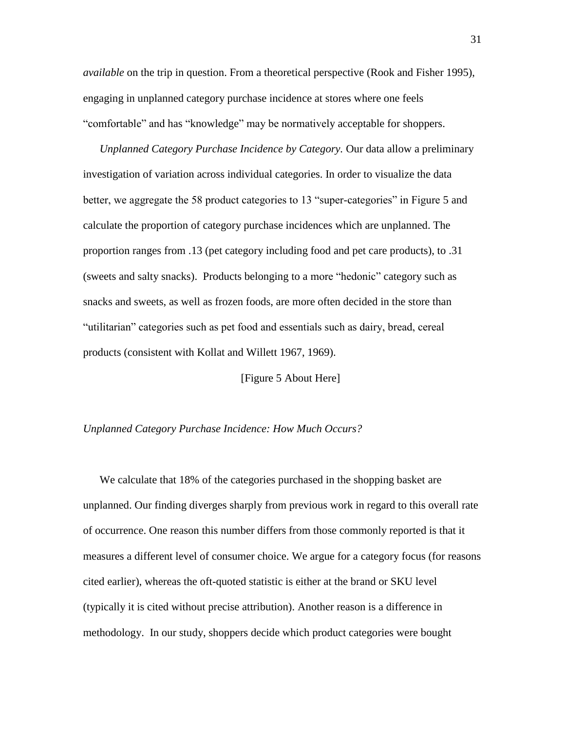*available* on the trip in question. From a theoretical perspective (Rook and Fisher 1995), engaging in unplanned category purchase incidence at stores where one feels "comfortable" and has "knowledge" may be normatively acceptable for shoppers.

*Unplanned Category Purchase Incidence by Category.* Our data allow a preliminary investigation of variation across individual categories. In order to visualize the data better, we aggregate the 58 product categories to 13 "super-categories" in Figure 5 and calculate the proportion of category purchase incidences which are unplanned. The proportion ranges from .13 (pet category including food and pet care products), to .31 (sweets and salty snacks). Products belonging to a more "hedonic" category such as snacks and sweets, as well as frozen foods, are more often decided in the store than "utilitarian" categories such as pet food and essentials such as dairy, bread, cereal products (consistent with Kollat and Willett 1967, 1969).

[Figure 5 About Here]

#### *Unplanned Category Purchase Incidence: How Much Occurs?*

We calculate that 18% of the categories purchased in the shopping basket are unplanned. Our finding diverges sharply from previous work in regard to this overall rate of occurrence. One reason this number differs from those commonly reported is that it measures a different level of consumer choice. We argue for a category focus (for reasons cited earlier), whereas the oft-quoted statistic is either at the brand or SKU level (typically it is cited without precise attribution). Another reason is a difference in methodology. In our study, shoppers decide which product categories were bought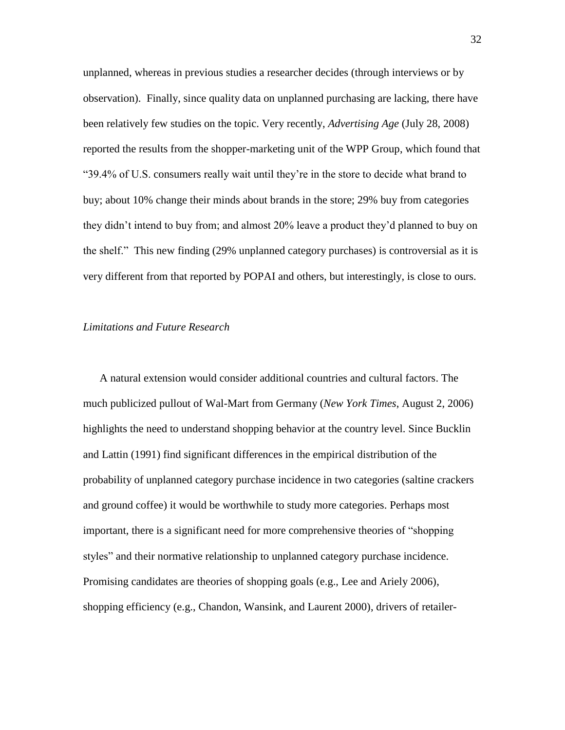unplanned, whereas in previous studies a researcher decides (through interviews or by observation). Finally, since quality data on unplanned purchasing are lacking, there have been relatively few studies on the topic. Very recently, *Advertising Age* (July 28, 2008) reported the results from the shopper-marketing unit of the WPP Group, which found that ―39.4% of U.S. consumers really wait until they're in the store to decide what brand to buy; about 10% change their minds about brands in the store; 29% buy from categories they didn't intend to buy from; and almost 20% leave a product they'd planned to buy on the shelf." This new finding (29% unplanned category purchases) is controversial as it is very different from that reported by POPAI and others, but interestingly, is close to ours.

#### *Limitations and Future Research*

A natural extension would consider additional countries and cultural factors. The much publicized pullout of Wal-Mart from Germany (*New York Times*, August 2, 2006) highlights the need to understand shopping behavior at the country level. Since Bucklin and Lattin (1991) find significant differences in the empirical distribution of the probability of unplanned category purchase incidence in two categories (saltine crackers and ground coffee) it would be worthwhile to study more categories. Perhaps most important, there is a significant need for more comprehensive theories of "shopping" styles" and their normative relationship to unplanned category purchase incidence. Promising candidates are theories of shopping goals (e.g., Lee and Ariely 2006), shopping efficiency (e.g., Chandon, Wansink, and Laurent 2000), drivers of retailer-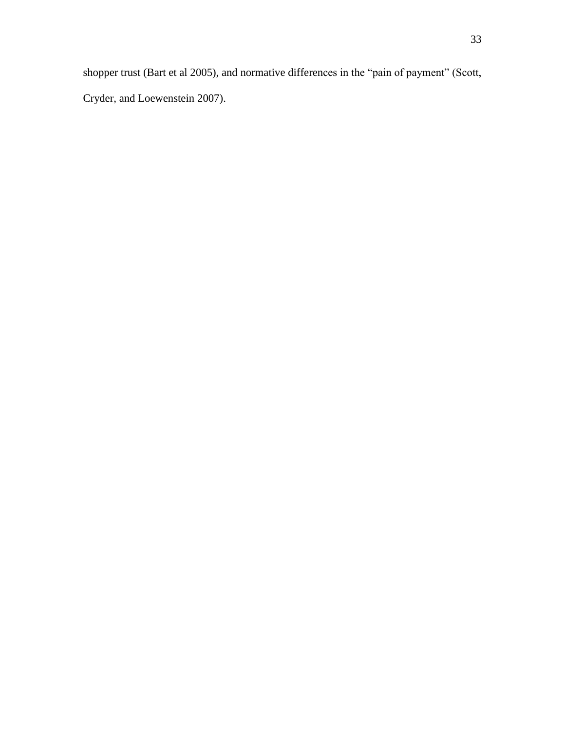shopper trust (Bart et al 2005), and normative differences in the "pain of payment" (Scott, Cryder, and Loewenstein 2007).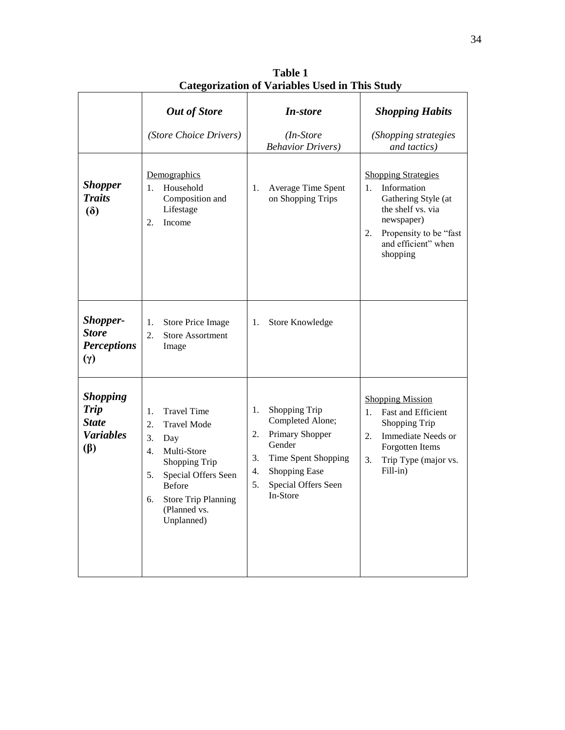|                                                                                 | <b>Out of Store</b><br>(Store Choice Drivers)                                                                                                                                                                           | <b>In-store</b><br>$(In-Store)$<br><b>Behavior Drivers</b> )                                                                                                            | <b>Shopping Habits</b><br>(Shopping strategies<br>and tactics)                                                                                                               |
|---------------------------------------------------------------------------------|-------------------------------------------------------------------------------------------------------------------------------------------------------------------------------------------------------------------------|-------------------------------------------------------------------------------------------------------------------------------------------------------------------------|------------------------------------------------------------------------------------------------------------------------------------------------------------------------------|
| <b>Shopper</b><br><b>Traits</b><br>$\delta$                                     | Demographics<br>Household<br>1.<br>Composition and<br>Lifestage<br>Income<br>2.                                                                                                                                         | Average Time Spent<br>1.<br>on Shopping Trips                                                                                                                           | <b>Shopping Strategies</b><br>Information<br>1.<br>Gathering Style (at<br>the shelf vs. via<br>newspaper)<br>Propensity to be "fast<br>2.<br>and efficient" when<br>shopping |
| <b>Shopper-</b><br><b>Store</b><br><b>Perceptions</b><br>$(\gamma)$             | <b>Store Price Image</b><br>1.<br>2.<br><b>Store Assortment</b><br>Image                                                                                                                                                | Store Knowledge<br>1.                                                                                                                                                   |                                                                                                                                                                              |
| <b>Shopping</b><br><b>Trip</b><br><b>State</b><br><b>Variables</b><br>$(\beta)$ | <b>Travel Time</b><br>1.<br><b>Travel Mode</b><br>2.<br>3.<br>Day<br>Multi-Store<br>4.<br>Shopping Trip<br>Special Offers Seen<br>5.<br><b>Before</b><br><b>Store Trip Planning</b><br>6.<br>(Planned vs.<br>Unplanned) | Shopping Trip<br>1.<br>Completed Alone;<br>Primary Shopper<br>2.<br>Gender<br>3.<br>Time Spent Shopping<br>Shopping Ease<br>4.<br>5.<br>Special Offers Seen<br>In-Store | <b>Shopping Mission</b><br><b>Fast and Efficient</b><br>1.<br>Shopping Trip<br>Immediate Needs or<br>2.<br>Forgotten Items<br>3.<br>Trip Type (major vs.<br>Fill-in)         |

**Table 1 Categorization of Variables Used in This Study**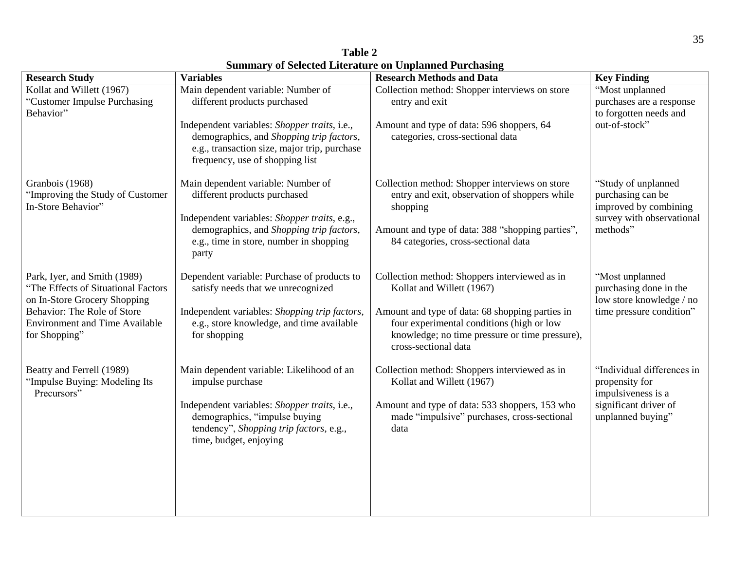| <b>Research Study</b>                                                                               | <b>Variables</b>                                                                                                                                                            | <b>Research Methods and Data</b>                                                                                                                                       | <b>Key Finding</b>                                                    |
|-----------------------------------------------------------------------------------------------------|-----------------------------------------------------------------------------------------------------------------------------------------------------------------------------|------------------------------------------------------------------------------------------------------------------------------------------------------------------------|-----------------------------------------------------------------------|
| Kollat and Willett (1967)                                                                           | Main dependent variable: Number of                                                                                                                                          | Collection method: Shopper interviews on store                                                                                                                         | "Most unplanned                                                       |
| "Customer Impulse Purchasing<br>Behavior"                                                           | different products purchased                                                                                                                                                | entry and exit                                                                                                                                                         | purchases are a response<br>to forgotten needs and                    |
|                                                                                                     | Independent variables: Shopper traits, i.e.,<br>demographics, and Shopping trip factors,<br>e.g., transaction size, major trip, purchase<br>frequency, use of shopping list | Amount and type of data: 596 shoppers, 64<br>categories, cross-sectional data                                                                                          | out-of-stock"                                                         |
| Granbois (1968)<br>"Improving the Study of Customer<br>In-Store Behavior"                           | Main dependent variable: Number of<br>different products purchased                                                                                                          | Collection method: Shopper interviews on store<br>entry and exit, observation of shoppers while<br>shopping                                                            | "Study of unplanned<br>purchasing can be<br>improved by combining     |
|                                                                                                     | Independent variables: Shopper traits, e.g.,<br>demographics, and Shopping trip factors,<br>e.g., time in store, number in shopping<br>party                                | Amount and type of data: 388 "shopping parties",<br>84 categories, cross-sectional data                                                                                | survey with observational<br>methods"                                 |
| Park, Iyer, and Smith (1989)<br>"The Effects of Situational Factors<br>on In-Store Grocery Shopping | Dependent variable: Purchase of products to<br>satisfy needs that we unrecognized                                                                                           | Collection method: Shoppers interviewed as in<br>Kollat and Willett (1967)                                                                                             | "Most unplanned<br>purchasing done in the<br>low store knowledge / no |
| Behavior: The Role of Store<br><b>Environment and Time Available</b><br>for Shopping"               | Independent variables: Shopping trip factors,<br>e.g., store knowledge, and time available<br>for shopping                                                                  | Amount and type of data: 68 shopping parties in<br>four experimental conditions (high or low<br>knowledge; no time pressure or time pressure),<br>cross-sectional data | time pressure condition"                                              |
| Beatty and Ferrell (1989)<br>"Impulse Buying: Modeling Its<br>Precursors"                           | Main dependent variable: Likelihood of an<br>impulse purchase                                                                                                               | Collection method: Shoppers interviewed as in<br>Kollat and Willett (1967)                                                                                             | "Individual differences in<br>propensity for<br>impulsiveness is a    |
|                                                                                                     | Independent variables: Shopper traits, i.e.,<br>demographics, "impulse buying<br>tendency", Shopping trip factors, e.g.,<br>time, budget, enjoying                          | Amount and type of data: 533 shoppers, 153 who<br>made "impulsive" purchases, cross-sectional<br>data                                                                  | significant driver of<br>unplanned buying"                            |
|                                                                                                     |                                                                                                                                                                             |                                                                                                                                                                        |                                                                       |

**Table 2 Summary of Selected Literature on Unplanned Purchasing**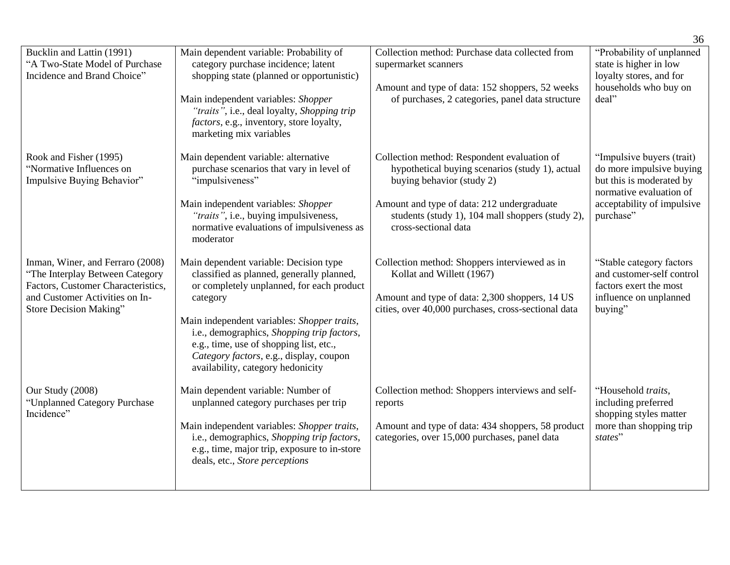|                                                                                                                                                                       |                                                                                                                                                                                                                                                                                                                                                                      |                                                                                                                                                                                                                                                       | 36                                                                                                                                                      |
|-----------------------------------------------------------------------------------------------------------------------------------------------------------------------|----------------------------------------------------------------------------------------------------------------------------------------------------------------------------------------------------------------------------------------------------------------------------------------------------------------------------------------------------------------------|-------------------------------------------------------------------------------------------------------------------------------------------------------------------------------------------------------------------------------------------------------|---------------------------------------------------------------------------------------------------------------------------------------------------------|
| Bucklin and Lattin (1991)<br>"A Two-State Model of Purchase<br>Incidence and Brand Choice"                                                                            | Main dependent variable: Probability of<br>category purchase incidence; latent<br>shopping state (planned or opportunistic)<br>Main independent variables: Shopper<br>"traits", i.e., deal loyalty, Shopping trip<br><i>factors</i> , e.g., inventory, store loyalty,<br>marketing mix variables                                                                     | Collection method: Purchase data collected from<br>supermarket scanners<br>Amount and type of data: 152 shoppers, 52 weeks<br>of purchases, 2 categories, panel data structure                                                                        | "Probability of unplanned<br>state is higher in low<br>loyalty stores, and for<br>households who buy on<br>deal"                                        |
| Rook and Fisher (1995)<br>"Normative Influences on<br>Impulsive Buying Behavior"                                                                                      | Main dependent variable: alternative<br>purchase scenarios that vary in level of<br>"impulsiveness"<br>Main independent variables: Shopper<br>"traits", i.e., buying impulsiveness,<br>normative evaluations of impulsiveness as<br>moderator                                                                                                                        | Collection method: Respondent evaluation of<br>hypothetical buying scenarios (study 1), actual<br>buying behavior (study 2)<br>Amount and type of data: 212 undergraduate<br>students (study 1), 104 mall shoppers (study 2),<br>cross-sectional data | "Impulsive buyers (trait)<br>do more impulsive buying<br>but this is moderated by<br>normative evaluation of<br>acceptability of impulsive<br>purchase" |
| Inman, Winer, and Ferraro (2008)<br>"The Interplay Between Category<br>Factors, Customer Characteristics,<br>and Customer Activities on In-<br>Store Decision Making" | Main dependent variable: Decision type<br>classified as planned, generally planned,<br>or completely unplanned, for each product<br>category<br>Main independent variables: Shopper traits,<br>i.e., demographics, Shopping trip factors,<br>e.g., time, use of shopping list, etc.,<br>Category factors, e.g., display, coupon<br>availability, category hedonicity | Collection method: Shoppers interviewed as in<br>Kollat and Willett (1967)<br>Amount and type of data: 2,300 shoppers, 14 US<br>cities, over 40,000 purchases, cross-sectional data                                                                   | "Stable category factors"<br>and customer-self control<br>factors exert the most<br>influence on unplanned<br>buying"                                   |
| Our Study (2008)<br>"Unplanned Category Purchase<br>Incidence"                                                                                                        | Main dependent variable: Number of<br>unplanned category purchases per trip<br>Main independent variables: Shopper traits,<br>i.e., demographics, Shopping trip factors,<br>e.g., time, major trip, exposure to in-store<br>deals, etc., Store perceptions                                                                                                           | Collection method: Shoppers interviews and self-<br>reports<br>Amount and type of data: 434 shoppers, 58 product<br>categories, over 15,000 purchases, panel data                                                                                     | "Household traits,<br>including preferred<br>shopping styles matter<br>more than shopping trip<br>states"                                               |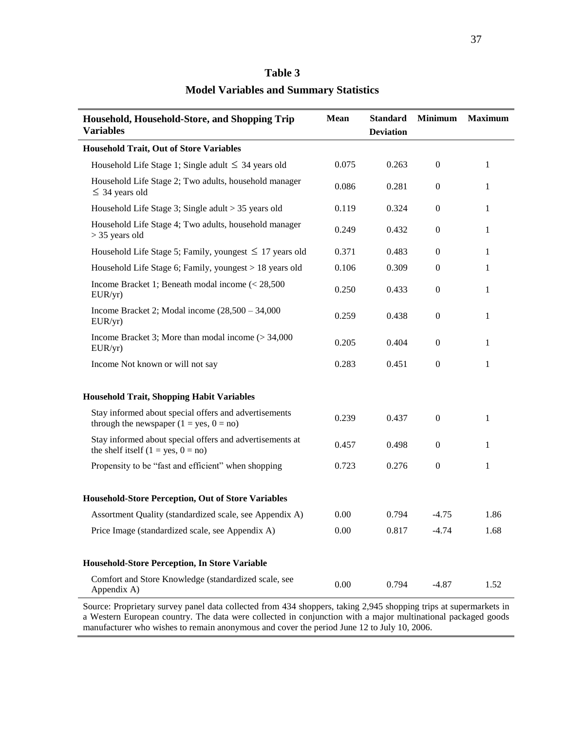| Household, Household-Store, and Shopping Trip<br><b>Variables</b>                                  | Mean  | <b>Standard</b><br><b>Deviation</b> | <b>Minimum</b>   | <b>Maximum</b> |
|----------------------------------------------------------------------------------------------------|-------|-------------------------------------|------------------|----------------|
| <b>Household Trait, Out of Store Variables</b>                                                     |       |                                     |                  |                |
| Household Life Stage 1; Single adult $\leq$ 34 years old                                           | 0.075 | 0.263                               | $\boldsymbol{0}$ | $\mathbf{1}$   |
| Household Life Stage 2; Two adults, household manager<br>$\leq$ 34 years old                       | 0.086 | 0.281                               | $\boldsymbol{0}$ | 1              |
| Household Life Stage 3; Single adult > 35 years old                                                | 0.119 | 0.324                               | $\boldsymbol{0}$ | 1              |
| Household Life Stage 4; Two adults, household manager<br>$>$ 35 years old                          | 0.249 | 0.432                               | $\boldsymbol{0}$ | 1              |
| Household Life Stage 5; Family, youngest $\leq 17$ years old                                       | 0.371 | 0.483                               | $\boldsymbol{0}$ | 1              |
| Household Life Stage 6; Family, youngest > 18 years old                                            | 0.106 | 0.309                               | $\mathbf{0}$     | 1              |
| Income Bracket 1; Beneath modal income $\approx 28,500$<br>EUR/yr)                                 | 0.250 | 0.433                               | $\boldsymbol{0}$ | 1              |
| Income Bracket 2; Modal income $(28,500 - 34,000)$<br>EUR/yr)                                      | 0.259 | 0.438                               | $\boldsymbol{0}$ | 1              |
| Income Bracket 3; More than modal income $(>34,000)$<br>EUR/yr)                                    | 0.205 | 0.404                               | $\boldsymbol{0}$ | 1              |
| Income Not known or will not say                                                                   | 0.283 | 0.451                               | $\boldsymbol{0}$ | 1              |
| <b>Household Trait, Shopping Habit Variables</b>                                                   |       |                                     |                  |                |
| Stay informed about special offers and advertisements<br>through the newspaper $(1 = yes, 0 = no)$ | 0.239 | 0.437                               | $\boldsymbol{0}$ | 1              |
| Stay informed about special offers and advertisements at<br>the shelf itself $(1 = yes, 0 = no)$   | 0.457 | 0.498                               | $\mathbf{0}$     | 1              |
| Propensity to be "fast and efficient" when shopping                                                | 0.723 | 0.276                               | $\boldsymbol{0}$ | 1              |
| <b>Household-Store Perception, Out of Store Variables</b>                                          |       |                                     |                  |                |
| Assortment Quality (standardized scale, see Appendix A)                                            | 0.00  | 0.794                               | $-4.75$          | 1.86           |
| Price Image (standardized scale, see Appendix A)                                                   | 0.00  | 0.817                               | $-4.74$          | 1.68           |
| Household-Store Perception, In Store Variable                                                      |       |                                     |                  |                |
| Comfort and Store Knowledge (standardized scale, see<br>Appendix A)                                | 0.00  | 0.794                               | $-4.87$          | 1.52           |

# **Table 3 Model Variables and Summary Statistics**

Source: Proprietary survey panel data collected from 434 shoppers, taking 2,945 shopping trips at supermarkets in a Western European country. The data were collected in conjunction with a major multinational packaged goods manufacturer who wishes to remain anonymous and cover the period June 12 to July 10, 2006.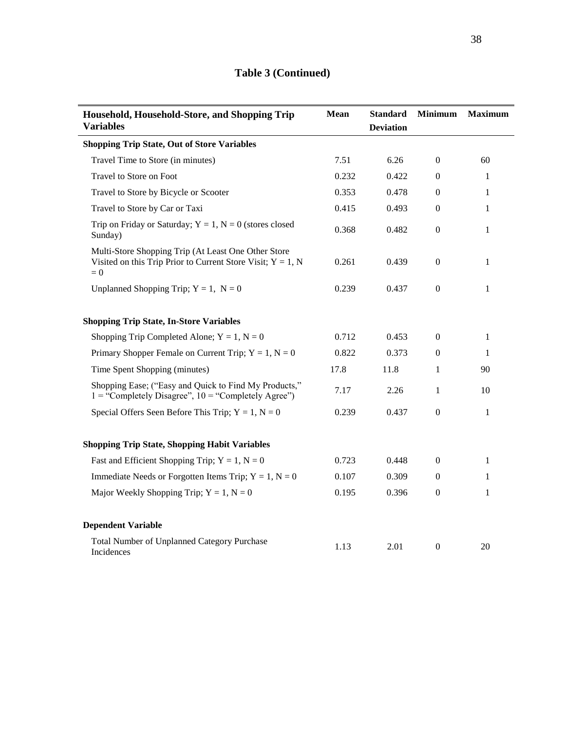| Household, Household-Store, and Shopping Trip<br><b>Variables</b>                                                              | Mean  | <b>Standard</b><br><b>Deviation</b> | <b>Minimum</b>   | <b>Maximum</b> |
|--------------------------------------------------------------------------------------------------------------------------------|-------|-------------------------------------|------------------|----------------|
| <b>Shopping Trip State, Out of Store Variables</b>                                                                             |       |                                     |                  |                |
| Travel Time to Store (in minutes)                                                                                              | 7.51  | 6.26                                | $\overline{0}$   | 60             |
| Travel to Store on Foot                                                                                                        | 0.232 | 0.422                               | $\overline{0}$   | 1              |
| Travel to Store by Bicycle or Scooter                                                                                          | 0.353 | 0.478                               | $\overline{0}$   | $\mathbf{1}$   |
| Travel to Store by Car or Taxi                                                                                                 | 0.415 | 0.493                               | $\boldsymbol{0}$ | $\mathbf{1}$   |
| Trip on Friday or Saturday; $Y = 1$ , $N = 0$ (stores closed<br>Sunday)                                                        | 0.368 | 0.482                               | $\overline{0}$   | $\mathbf{1}$   |
| Multi-Store Shopping Trip (At Least One Other Store<br>Visited on this Trip Prior to Current Store Visit; $Y = 1$ , N<br>$= 0$ | 0.261 | 0.439                               | $\overline{0}$   | 1              |
| Unplanned Shopping Trip; $Y = 1$ , $N = 0$                                                                                     | 0.239 | 0.437                               | $\overline{0}$   | $\mathbf{1}$   |
| <b>Shopping Trip State, In-Store Variables</b>                                                                                 |       |                                     |                  |                |
| Shopping Trip Completed Alone; $Y = 1$ , $N = 0$                                                                               | 0.712 | 0.453                               | $\boldsymbol{0}$ | $\mathbf{1}$   |
| Primary Shopper Female on Current Trip; $Y = 1$ , $N = 0$                                                                      | 0.822 | 0.373                               | $\Omega$         | 1              |
| Time Spent Shopping (minutes)                                                                                                  | 17.8  | 11.8                                | 1                | 90             |
| Shopping Ease; ("Easy and Quick to Find My Products,"<br>$1 =$ "Completely Disagree", $10 =$ "Completely Agree")               | 7.17  | 2.26                                | $\mathbf{1}$     | 10             |
| Special Offers Seen Before This Trip; $Y = 1$ , $N = 0$                                                                        | 0.239 | 0.437                               | $\boldsymbol{0}$ | $\mathbf{1}$   |
| <b>Shopping Trip State, Shopping Habit Variables</b>                                                                           |       |                                     |                  |                |
| Fast and Efficient Shopping Trip; $Y = 1$ , $N = 0$                                                                            | 0.723 | 0.448                               | $\overline{0}$   | $\mathbf{1}$   |
| Immediate Needs or Forgotten Items Trip; $Y = 1$ , $N = 0$                                                                     | 0.107 | 0.309                               | $\overline{0}$   | $\mathbf{1}$   |
| Major Weekly Shopping Trip; $Y = 1$ , $N = 0$                                                                                  | 0.195 | 0.396                               | $\boldsymbol{0}$ | $\mathbf{1}$   |
| <b>Dependent Variable</b>                                                                                                      |       |                                     |                  |                |
| <b>Total Number of Unplanned Category Purchase</b><br>Incidences                                                               | 1.13  | 2.01                                | $\boldsymbol{0}$ | 20             |

# **Table 3 (Continued)**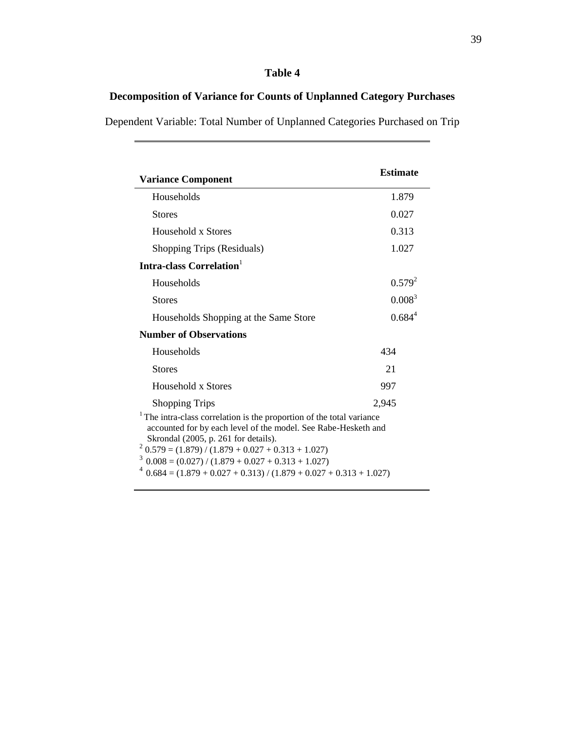# **Table 4**

# **Decomposition of Variance for Counts of Unplanned Category Purchases**

Dependent Variable: Total Number of Unplanned Categories Purchased on Trip

| <b>Variance Component</b>                                                                                                                                                                                                                                                                                                                                                                              | <b>Estimate</b>    |
|--------------------------------------------------------------------------------------------------------------------------------------------------------------------------------------------------------------------------------------------------------------------------------------------------------------------------------------------------------------------------------------------------------|--------------------|
| Households                                                                                                                                                                                                                                                                                                                                                                                             | 1.879              |
| <b>Stores</b>                                                                                                                                                                                                                                                                                                                                                                                          | 0.027              |
| Household x Stores                                                                                                                                                                                                                                                                                                                                                                                     | 0.313              |
| Shopping Trips (Residuals)                                                                                                                                                                                                                                                                                                                                                                             | 1.027              |
| Intra-class Correlation                                                                                                                                                                                                                                                                                                                                                                                |                    |
| Households                                                                                                                                                                                                                                                                                                                                                                                             | $0.579^{2}$        |
| <b>Stores</b>                                                                                                                                                                                                                                                                                                                                                                                          | $0.008^{3}$        |
| Households Shopping at the Same Store                                                                                                                                                                                                                                                                                                                                                                  | 0.684 <sup>4</sup> |
| <b>Number of Observations</b>                                                                                                                                                                                                                                                                                                                                                                          |                    |
| Households                                                                                                                                                                                                                                                                                                                                                                                             | 434                |
| <b>Stores</b>                                                                                                                                                                                                                                                                                                                                                                                          | 21                 |
| Household x Stores                                                                                                                                                                                                                                                                                                                                                                                     | 997                |
| <b>Shopping Trips</b>                                                                                                                                                                                                                                                                                                                                                                                  | 2,945              |
| <sup>1</sup> The intra-class correlation is the proportion of the total variance<br>accounted for by each level of the model. See Rabe-Hesketh and<br>Skrondal (2005, p. 261 for details).<br>$2^{2}$ 0.579 = (1.879) / (1.879 + 0.027 + 0.313 + 1.027)<br>$3\,$ 0.008 = (0.027) / (1.879 + 0.027 + 0.313 + 1.027)<br>$4\overline{)0.684}$ = (1.879 + 0.027 + 0.313) / (1.879 + 0.027 + 0.313 + 1.027) |                    |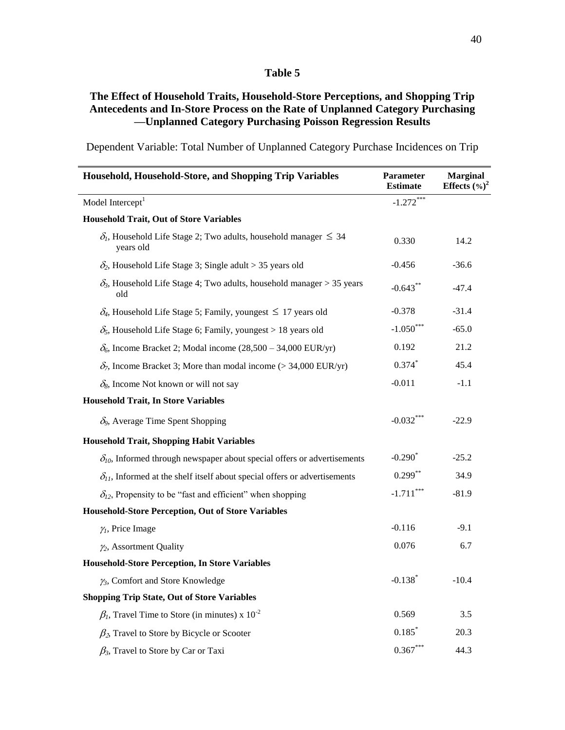#### **Table 5**

# **The Effect of Household Traits, Household-Store Perceptions, and Shopping Trip Antecedents and In-Store Process on the Rate of Unplanned Category Purchasing —Unplanned Category Purchasing Poisson Regression Results**

**Household, Household-Store, and Shopping Trip Variables Parameter Estimate Marginal Effects (%) 2** Model Intercept $<sup>1</sup>$ </sup>  $-1.272***$ **Household Trait, Out of Store Variables**  $\delta_l$ , Household Life Stage 2; Two adults, household manager  $\leq 34$  0.330 14.2  $\delta$ , Household Life Stage 3; Single adult > 35 years old  $\sim$  -0.456  $-36.6$  $\delta_3$ , Household Life Stage 4; Two adults, household manager > 35 years -0.643<sup>\*\*</sup> -47.4  $\delta_4$ , Household Life Stage 5; Family, youngest  $\leq 17$  years old -0.378 -31.4  $\delta_5$ , Household Life Stage 6; Family, youngest > 18 years old  $-1.050***$ -65.0  $\delta_6$ , Income Bracket 2; Modal income (28,500 – 34,000 EUR/yr) 0.192 21.2  $\delta_7$ , Income Bracket 3; More than modal income (> 34,000 EUR/yr) 0.374<sup>\*</sup> 45.4  $\delta_8$ , Income Not known or will not say  $-0.011$  -1.1 **Household Trait, In Store Variables**  $\delta_9$ , Average Time Spent Shopping  $-0.032***$ -22.9 **Household Trait, Shopping Habit Variables**  $\delta_{10}$ , Informed through newspaper about special offers or advertisements  $-0.290^*$ -25.2  $\delta_{11}$ , Informed at the shelf itself about special offers or advertisements 0.299<sup>\*\*</sup> 34.9  $\delta_{12}$ , Propensity to be "fast and efficient" when shopping  $-1.711$ <sup>\*\*\*</sup> -81.9 **Household-Store Perception, Out of Store Variables**  $\gamma$ , Price Image  $-9.1$  $\gamma_2$ , Assortment Quality **0.076** 6.7 **Household-Store Perception, In Store Variables**  $\gamma_3$ , Comfort and Store Knowledge  $-0.138^*$ -10.4 **Shopping Trip State, Out of Store Variables**  $\beta_l$ , Travel Time to Store (in minutes) x  $10^{-2}$  0.569 0.569 3.5  $\beta_2$ , Travel to Store by Bicycle or Scooter 0.185<sup>\*</sup> 20.3  $\beta_3$ , Travel to Store by Car or Taxi 0.367<sup>\*\*\*</sup> 44.3

Dependent Variable: Total Number of Unplanned Category Purchase Incidences on Trip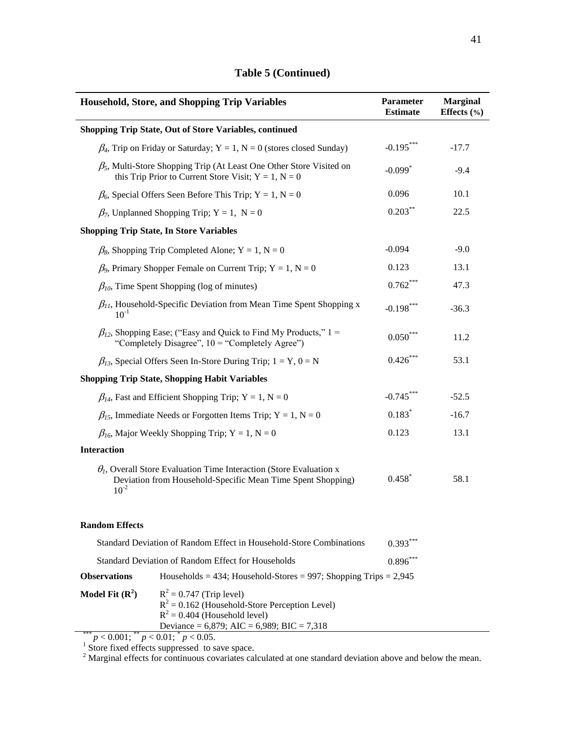| <b>Household, Store, and Shopping Trip Variables</b>                                                                                                   | Parameter<br><b>Estimate</b> | <b>Marginal</b><br>Effects $(\% )$ |
|--------------------------------------------------------------------------------------------------------------------------------------------------------|------------------------------|------------------------------------|
| <b>Shopping Trip State, Out of Store Variables, continued</b>                                                                                          |                              |                                    |
| $\beta_4$ , Trip on Friday or Saturday; Y = 1, N = 0 (stores closed Sunday)                                                                            | $-0.195***$                  | $-17.7$                            |
| $\beta_5$ , Multi-Store Shopping Trip (At Least One Other Store Visited on<br>this Trip Prior to Current Store Visit; $Y = 1$ , $N = 0$                | $-0.099$ <sup>*</sup>        | $-9.4$                             |
| $\beta_6$ , Special Offers Seen Before This Trip; Y = 1, N = 0                                                                                         | 0.096                        | 10.1                               |
| $\beta_7$ , Unplanned Shopping Trip; Y = 1, N = 0                                                                                                      | $0.203***$                   | 22.5                               |
| <b>Shopping Trip State, In Store Variables</b>                                                                                                         |                              |                                    |
| $\beta_8$ , Shopping Trip Completed Alone; Y = 1, N = 0                                                                                                | $-0.094$                     | $-9.0$                             |
| $\beta_9$ , Primary Shopper Female on Current Trip; Y = 1, N = 0                                                                                       | 0.123                        | 13.1                               |
| $\beta_{10}$ , Time Spent Shopping (log of minutes)                                                                                                    | $0.762***$                   | 47.3                               |
| $\beta_{11}$ , Household-Specific Deviation from Mean Time Spent Shopping x<br>$10^{-1}$                                                               | $-0.198***$                  | $-36.3$                            |
| $\beta_{12}$ , Shopping Ease; ("Easy and Quick to Find My Products," 1 =<br>"Completely Disagree", $10 =$ "Completely Agree")                          | $0.050***$                   | 11.2                               |
| $\beta_{13}$ , Special Offers Seen In-Store During Trip; 1 = Y, 0 = N                                                                                  | $0.426***$                   | 53.1                               |
| <b>Shopping Trip State, Shopping Habit Variables</b>                                                                                                   |                              |                                    |
| $\beta_{14}$ , Fast and Efficient Shopping Trip; Y = 1, N = 0                                                                                          | $-0.745***$                  | $-52.5$                            |
| $\beta_{15}$ , Immediate Needs or Forgotten Items Trip; Y = 1, N = 0                                                                                   | $0.183*$                     | $-16.7$                            |
| $\beta_{16}$ , Major Weekly Shopping Trip; Y = 1, N = 0                                                                                                | 0.123                        | 13.1                               |
| <b>Interaction</b>                                                                                                                                     |                              |                                    |
| $\theta_l$ , Overall Store Evaluation Time Interaction (Store Evaluation x<br>Deviation from Household-Specific Mean Time Spent Shopping)<br>$10^{-2}$ | $0.458$ <sup>*</sup>         | 58.1                               |
| <b>Random Effects</b>                                                                                                                                  |                              |                                    |
| Standard Deviation of Random Effect in Household-Store Combinations                                                                                    | $0.393***$                   |                                    |
| Standard Deviation of Random Effect for Households                                                                                                     | $0.896***$                   |                                    |
| <b>Observations</b><br>Households = 434; Household-Stores = 997; Shopping Trips = $2,945$                                                              |                              |                                    |

# **Table 5 (Continued)**

**Deviance = 6,879; AIC = 6,989; BIC = 7,318**<br>
<sup>2</sup>  $p < 0.001$ ;  $p < 0.01$ ;  $p < 0.05$ .<br>
<sup>1</sup> Store fixed effects suppressed to save space.

**Model Fit**  $(\mathbf{R}^2)$   $\qquad \mathbf{R}^2 = 0.747$  (Trip level)

 $2$  Marginal effects for continuous covariates calculated at one standard deviation above and below the mean.

 $R^2 = 0.162$  (Household-Store Perception Level)

 $R^2 = 0.404$  (Household level)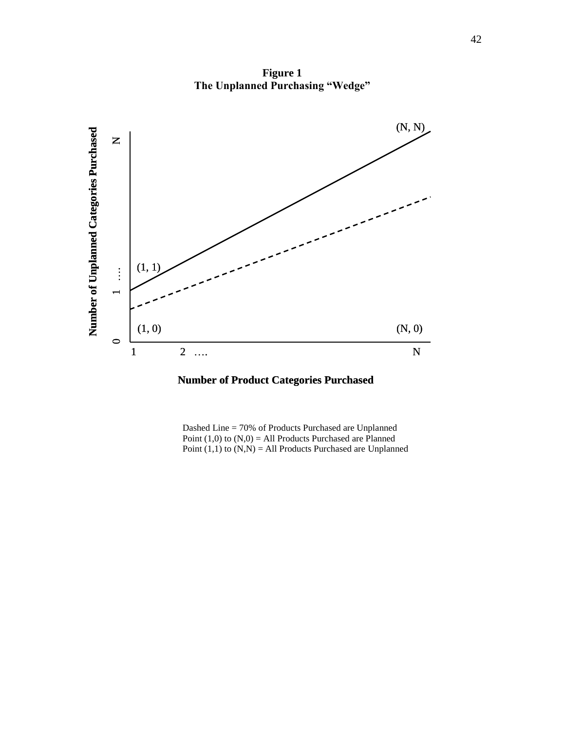

**Figure 1 The Unplanned Purchasing "Wedge"**

**Number of Product Categories Purchased**

Dashed Line = 70% of Products Purchased are Unplanned Point  $(1,0)$  to  $(N,0) = All$  Products Purchased are Planned Point  $(1,1)$  to  $(N,N) = All$  Products Purchased are Unplanned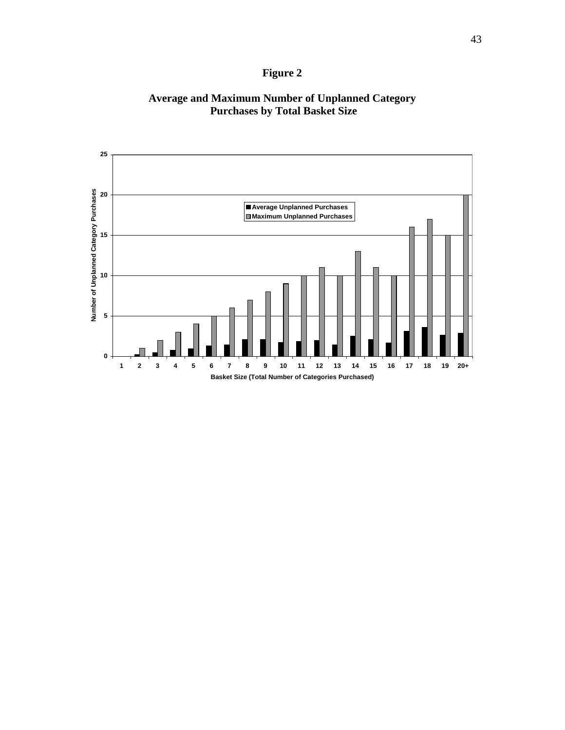# **Figure 2**

# **Average and Maximum Number of Unplanned Category Purchases by Total Basket Size**

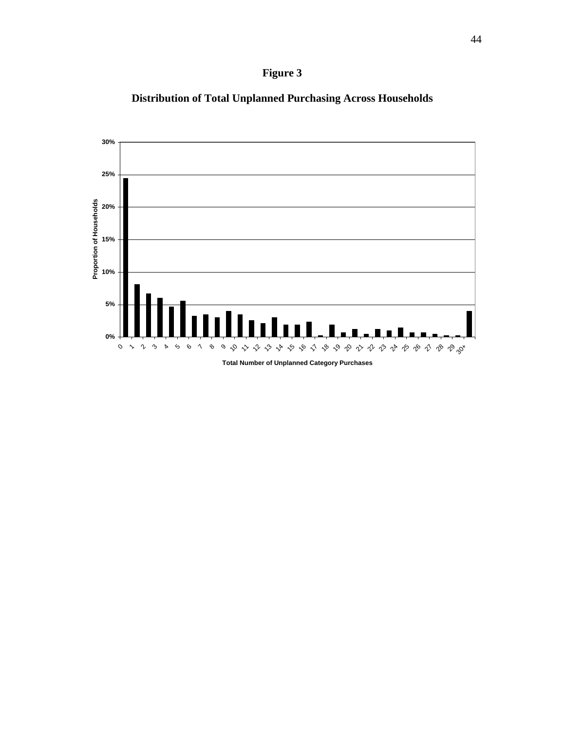



**Distribution of Total Unplanned Purchasing Across Households**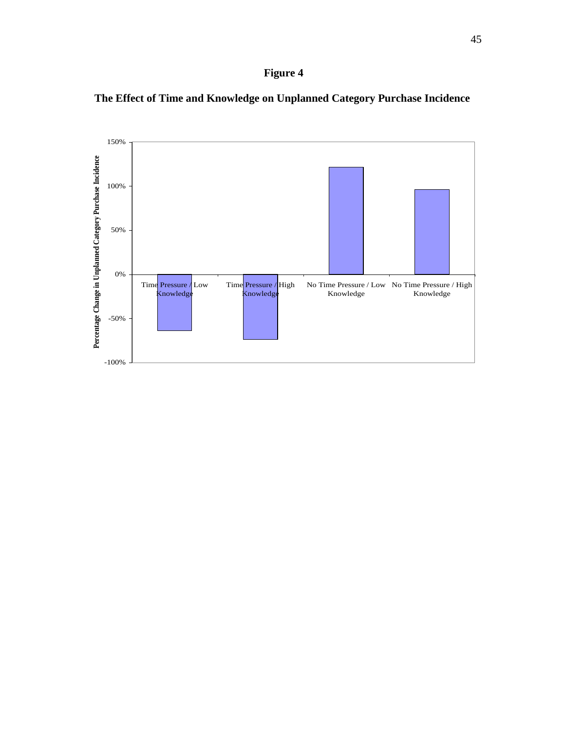



**The Effect of Time and Knowledge on Unplanned Category Purchase Incidence**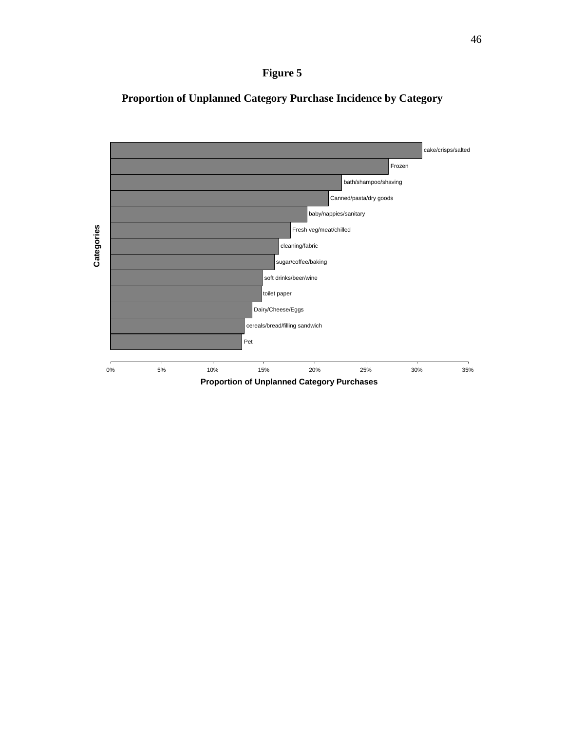



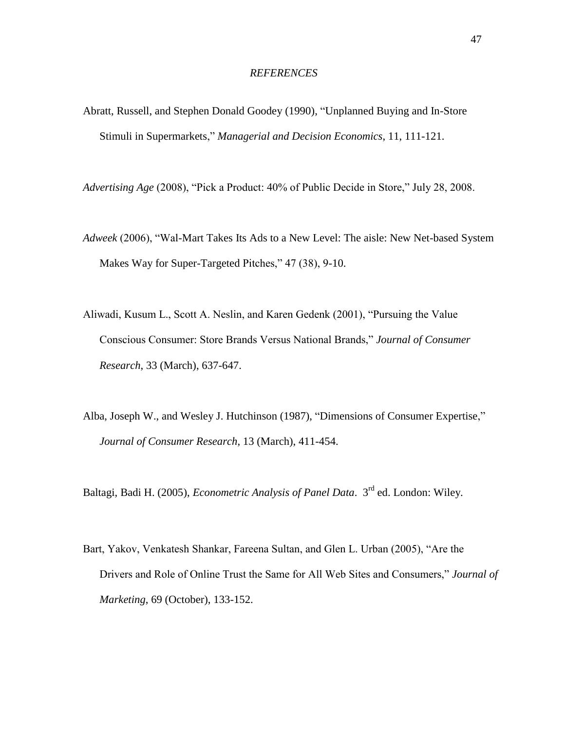#### *REFERENCES*

- Abratt, Russell, and Stephen Donald Goodey (1990), "Unplanned Buying and In-Store Stimuli in Supermarkets," Managerial and Decision Economics, 11, 111-121.
- *Advertising Age* (2008), "Pick a Product: 40% of Public Decide in Store," July 28, 2008.
- Adweek (2006), "Wal-Mart Takes Its Ads to a New Level: The aisle: New Net-based System Makes Way for Super-Targeted Pitches," 47 (38), 9-10.
- Aliwadi, Kusum L., Scott A. Neslin, and Karen Gedenk (2001), "Pursuing the Value Conscious Consumer: Store Brands Versus National Brands," Journal of Consumer *Research*, 33 (March), 637-647.
- Alba, Joseph W., and Wesley J. Hutchinson (1987), "Dimensions of Consumer Expertise," *Journal of Consumer Research*, 13 (March), 411-454.

Baltagi, Badi H. (2005), *Econometric Analysis of Panel Data*. 3<sup>rd</sup> ed. London: Wiley.

Bart, Yakov, Venkatesh Shankar, Fareena Sultan, and Glen L. Urban (2005), "Are the Drivers and Role of Online Trust the Same for All Web Sites and Consumers," *Journal of Marketing*, 69 (October), 133-152.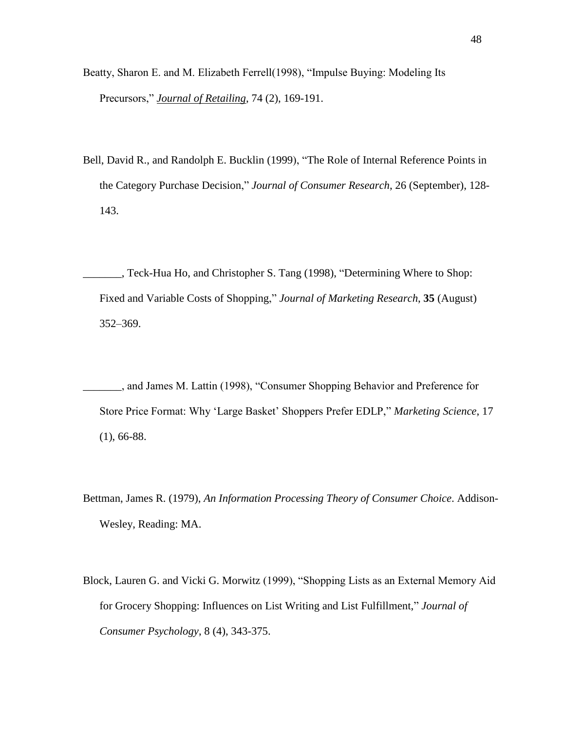- Beatty, Sharon E. and M. Elizabeth Ferrell(1998), "Impulse Buying: Modeling Its Precursors," *Journal of Retailing*, 74 (2), 169-191.
- Bell, David R., and Randolph E. Bucklin (1999), "The Role of Internal Reference Points in the Category Purchase Decision," *Journal of Consumer Research*, 26 (September), 128-143.

Lack-Hua Ho, and Christopher S. Tang (1998), "Determining Where to Shop: Fixed and Variable Costs of Shopping," *Journal of Marketing Research*, 35 (August) 352–369.

- \_\_\_\_\_\_\_, and James M. Lattin (1998), ―Consumer Shopping Behavior and Preference for Store Price Format: Why 'Large Basket' Shoppers Prefer EDLP," Marketing Science, 17 (1), 66-88.
- Bettman, James R. (1979), *An Information Processing Theory of Consumer Choice*. Addison-Wesley, Reading: MA.
- Block, Lauren G. and Vicki G. Morwitz (1999), "Shopping Lists as an External Memory Aid for Grocery Shopping: Influences on List Writing and List Fulfillment," *Journal of Consumer Psychology*, 8 (4), 343-375.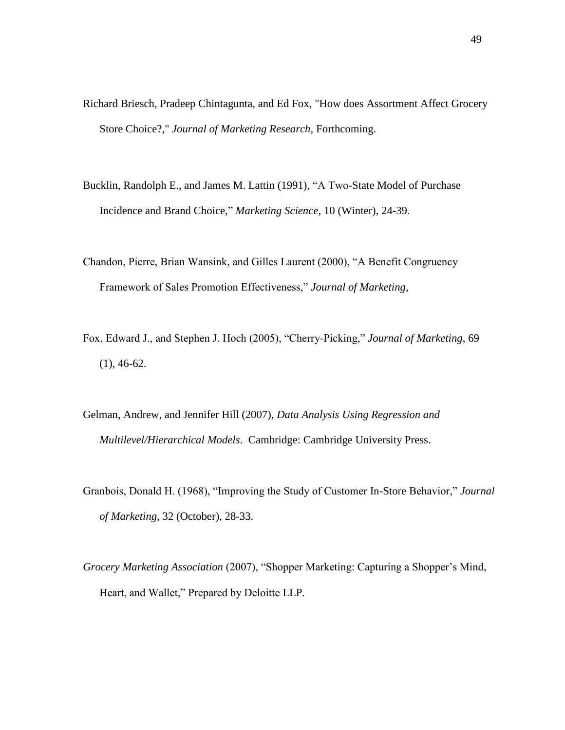- Richard Briesch, Pradeep Chintagunta, and Ed Fox, "How does Assortment Affect Grocery Store Choice?," *Journal of Marketing Research,* Forthcoming.
- Bucklin, Randolph E., and James M. Lattin (1991), "A Two-State Model of Purchase Incidence and Brand Choice,‖ *Marketing Science*, 10 (Winter), 24-39.
- Chandon, Pierre, Brian Wansink, and Gilles Laurent (2000), "A Benefit Congruency Framework of Sales Promotion Effectiveness," *Journal of Marketing*,
- Fox, Edward J., and Stephen J. Hoch (2005), "Cherry-Picking," *Journal of Marketing*, 69 (1), 46-62.
- Gelman, Andrew, and Jennifer Hill (2007), *Data Analysis Using Regression and Multilevel/Hierarchical Models*. Cambridge: Cambridge University Press.
- Granbois, Donald H. (1968), "Improving the Study of Customer In-Store Behavior," *Journal of Marketing*, 32 (October), 28-33.
- *Grocery Marketing Association (2007),* "Shopper Marketing: Capturing a Shopper's Mind, Heart, and Wallet," Prepared by Deloitte LLP.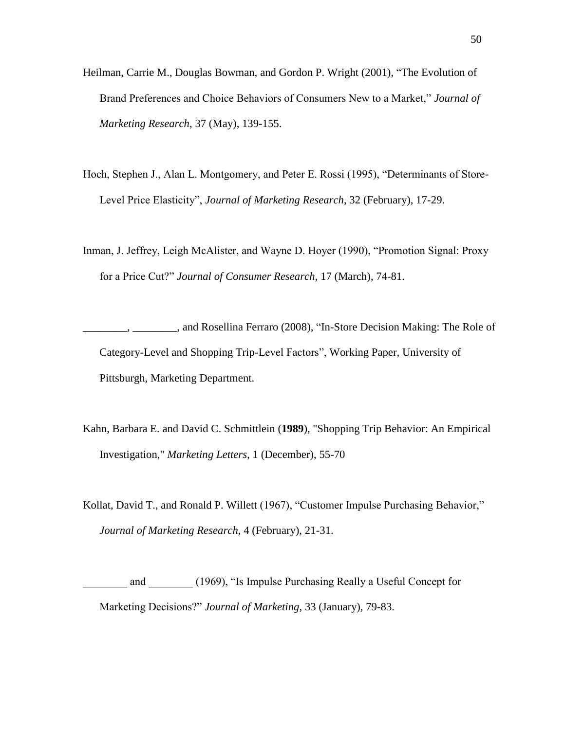- Heilman, Carrie M., Douglas Bowman, and Gordon P. Wright (2001), "The Evolution of Brand Preferences and Choice Behaviors of Consumers New to a Market," *Journal of Marketing Research*, 37 (May), 139-155.
- Hoch, Stephen J., Alan L. Montgomery, and Peter E. Rossi (1995), "Determinants of Store-Level Price Elasticity", *Journal of Marketing Research*, 32 (February), 17-29.
- Inman, J. Jeffrey, Leigh McAlister, and Wayne D. Hoyer (1990), "Promotion Signal: Proxy for a Price Cut?" *Journal of Consumer Research*, 17 (March), 74-81.
- \_\_\_\_\_\_\_\_, \_\_\_\_\_\_\_\_, and Rosellina Ferraro (2008), ―In-Store Decision Making: The Role of Category-Level and Shopping Trip-Level Factors", Working Paper, University of Pittsburgh, Marketing Department.
- Kahn, Barbara E. and David C. Schmittlein (**1989**), "Shopping Trip Behavior: An Empirical Investigation," *Marketing Letters*, 1 (December), 55-70
- Kollat, David T., and Ronald P. Willett (1967), "Customer Impulse Purchasing Behavior," *Journal of Marketing Research*, 4 (February), 21-31.
- and (1969), "Is Impulse Purchasing Really a Useful Concept for Marketing Decisions?" *Journal of Marketing*, 33 (January), 79-83.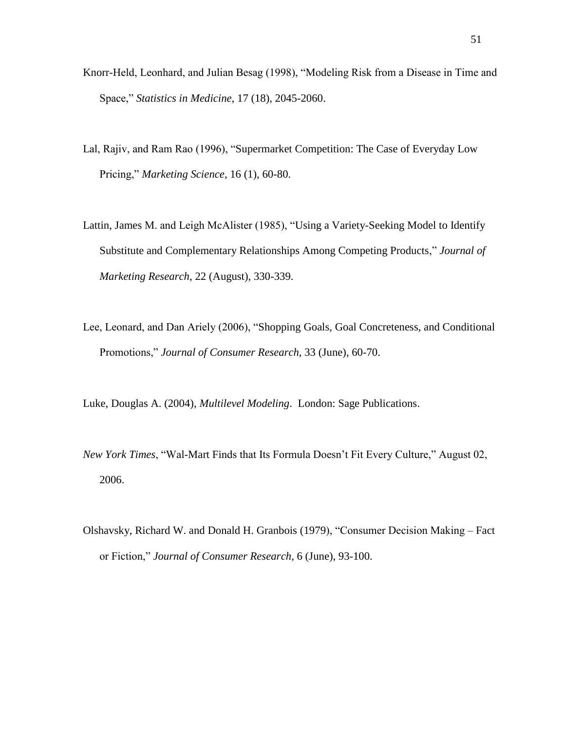- Knorr-Held, Leonhard, and Julian Besag (1998), "Modeling Risk from a Disease in Time and Space,‖ *Statistics in Medicine*, 17 (18), 2045-2060.
- Lal, Rajiv, and Ram Rao (1996), "Supermarket Competition: The Case of Everyday Low Pricing," *Marketing Science*, 16 (1), 60-80.
- Lattin, James M. and Leigh McAlister (1985), "Using a Variety-Seeking Model to Identify [Substitute and Complementary Relationships Among Competing Products,](http://proquest.umi.com/pqdweb?index=1&did=1176824&SrchMode=1&sid=1&Fmt=6&VInst=PROD&VType=PQD&RQT=309&VName=PQD&TS=1197571403&clientId=3748)" *Journal of Marketing Research*, 22 (August), 330-339.
- Lee, Leonard, and Dan Ariely (2006), "Shopping Goals, Goal Concreteness, and Conditional Promotions,‖ *Journal of Consumer Research*, 33 (June), 60-70.

Luke, Douglas A. (2004), *Multilevel Modeling*. London: Sage Publications.

- *New York Times*, "Wal-Mart Finds that Its Formula Doesn't Fit Every Culture," August 02, 2006.
- Olshavsky, Richard W. and Donald H. Granbois (1979), "Consumer Decision Making Fact or Fiction," *Journal of Consumer Research*, 6 (June), 93-100.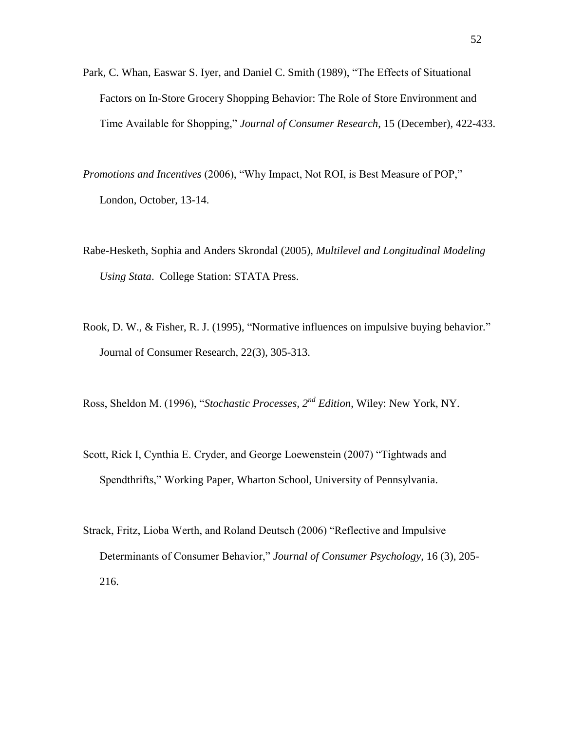- Park, C. Whan, Easwar S. Iver, and Daniel C. Smith (1989), "The Effects of Situational Factors on In-Store Grocery Shopping Behavior: The Role of Store Environment and Time Available for Shopping," *Journal of Consumer Research*, 15 (December), 422-433.
- *Promotions and Incentives* (2006), "Why Impact, Not ROI, is Best Measure of POP," London, October, 13-14.
- Rabe-Hesketh, Sophia and Anders Skrondal (2005), *Multilevel and Longitudinal Modeling Using Stata*. College Station: STATA Press.
- Rook, D. W., & Fisher, R. J. (1995), "Normative influences on impulsive buying behavior." Journal of Consumer Research, 22(3), 305-313.
- Ross, Sheldon M. (1996), "Stochastic Processes, 2<sup>nd</sup> Edition, Wiley: New York, NY.
- Scott, Rick I, Cynthia E. Cryder, and George Loewenstein (2007) "Tightwads and Spendthrifts," Working Paper, Wharton School, University of Pennsylvania.
- Strack, Fritz, Lioba Werth, and Roland Deutsch (2006) "Reflective and Impulsive Determinants of Consumer Behavior," *Journal of Consumer Psychology*, 16 (3), 205-216.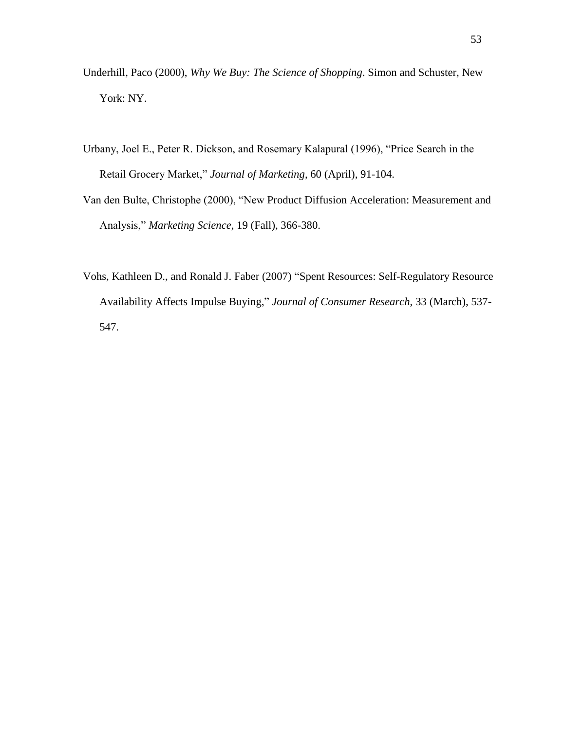- Underhill, Paco (2000), *Why We Buy: The Science of Shopping*. Simon and Schuster, New York: NY.
- Urbany, Joel E., Peter R. Dickson, and Rosemary Kalapural (1996), "Price Search in the Retail Grocery Market," Journal of Marketing, 60 (April), 91-104.
- Van den Bulte, Christophe (2000), "New Product Diffusion Acceleration: Measurement and Analysis,‖ *Marketing Science*, 19 (Fall), 366-380.
- Vohs, Kathleen D., and Ronald J. Faber (2007) "Spent Resources: Self-Regulatory Resource Availability Affects Impulse Buying," Journal of Consumer Research, 33 (March), 537-547.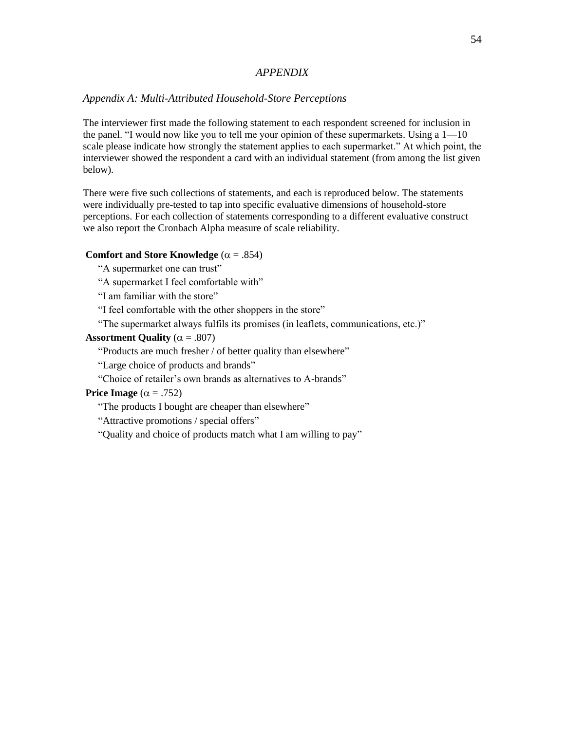#### *APPENDIX*

#### *Appendix A: Multi-Attributed Household-Store Perceptions*

The interviewer first made the following statement to each respondent screened for inclusion in the panel. "I would now like you to tell me your opinion of these supermarkets. Using a  $1-10$ scale please indicate how strongly the statement applies to each supermarket." At which point, the interviewer showed the respondent a card with an individual statement (from among the list given below).

There were five such collections of statements, and each is reproduced below. The statements were individually pre-tested to tap into specific evaluative dimensions of household-store perceptions. For each collection of statements corresponding to a different evaluative construct we also report the Cronbach Alpha measure of scale reliability.

### **Comfort and Store Knowledge**  $(\alpha = .854)$

"A supermarket one can trust"

"A supermarket I feel comfortable with"

"I am familiar with the store"

"I feel comfortable with the other shoppers in the store"

"The supermarket always fulfils its promises (in leaflets, communications, etc.)"

#### **Assortment Quality** ( $\alpha = .807$ )

"Products are much fresher / of better quality than elsewhere"

"Large choice of products and brands"

"Choice of retailer's own brands as alternatives to A-brands"

# **Price Image**  $(\alpha = .752)$

"The products I bought are cheaper than elsewhere"

"Attractive promotions / special offers"

"Quality and choice of products match what I am willing to pay"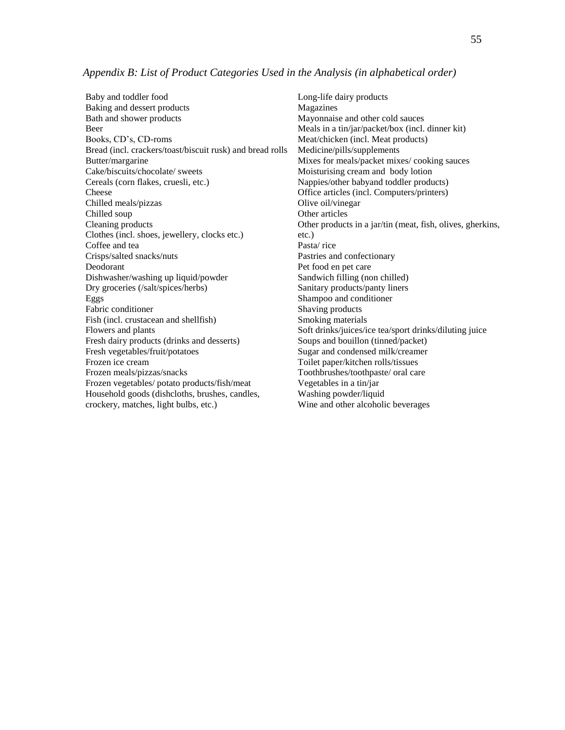Baby and toddler food Baking and dessert products Bath and shower products Beer Books, CD's, CD-roms Bread (incl. crackers/toast/biscuit rusk) and bread rolls Butter/margarine Cake/biscuits/chocolate/ sweets Cereals (corn flakes, cruesli, etc.) Cheese Chilled meals/pizzas Chilled soup Cleaning products Clothes (incl. shoes, jewellery, clocks etc.) Coffee and tea Crisps/salted snacks/nuts Deodorant Dishwasher/washing up liquid/powder Dry groceries (/salt/spices/herbs) Eggs Fabric conditioner Fish (incl. crustacean and shellfish) Flowers and plants Fresh dairy products (drinks and desserts) Fresh vegetables/fruit/potatoes Frozen ice cream Frozen meals/pizzas/snacks Frozen vegetables/ potato products/fish/meat Household goods (dishcloths, brushes, candles, crockery, matches, light bulbs, etc.)

Long-life dairy products Magazines Mayonnaise and other cold sauces Meals in a tin/jar/packet/box (incl. dinner kit) Meat/chicken (incl. Meat products) Medicine/pills/supplements Mixes for meals/packet mixes/ cooking sauces Moisturising cream and body lotion Nappies/other babyand toddler products) Office articles (incl. Computers/printers) Olive oil/vinegar Other articles Other products in a jar/tin (meat, fish, olives, gherkins, etc.) Pasta/ rice Pastries and confectionary Pet food en pet care Sandwich filling (non chilled) Sanitary products/panty liners Shampoo and conditioner Shaving products Smoking materials Soft drinks/juices/ice tea/sport drinks/diluting juice Soups and bouillon (tinned/packet) Sugar and condensed milk/creamer Toilet paper/kitchen rolls/tissues Toothbrushes/toothpaste/ oral care Vegetables in a tin/jar Washing powder/liquid Wine and other alcoholic beverages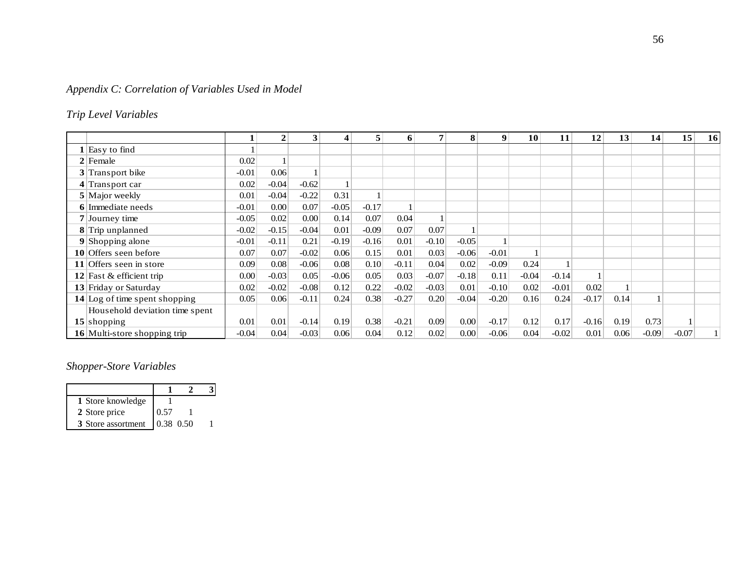# *Appendix C: Correlation of Variables Used in Model*

# *Trip Level Variables*

| <b>Trip Level Variables</b>     |         |              |         |         |         |              |                |          |         |         |         |         |      |         |         |    |
|---------------------------------|---------|--------------|---------|---------|---------|--------------|----------------|----------|---------|---------|---------|---------|------|---------|---------|----|
|                                 | 1       | $\mathbf{2}$ | 3       | 4       | 5       | 6            | $\overline{7}$ | 8        | 9       | 10      | 11      | 12      | 13   | 14      | 15      | 16 |
| $1$ Easy to find                |         |              |         |         |         |              |                |          |         |         |         |         |      |         |         |    |
| $2$ Female                      | 0.02    |              |         |         |         |              |                |          |         |         |         |         |      |         |         |    |
| 3 Transport bike                | $-0.01$ | 0.06         |         |         |         |              |                |          |         |         |         |         |      |         |         |    |
| $4$ Transport car               | 0.02    | $-0.04$      | $-0.62$ |         |         |              |                |          |         |         |         |         |      |         |         |    |
| $5$ Major weekly                | 0.01    | $-0.04$      | $-0.22$ | 0.31    |         |              |                |          |         |         |         |         |      |         |         |    |
| 6 Immediate needs               | $-0.01$ | 0.00         | 0.07    | $-0.05$ | $-0.17$ | $\mathbf{1}$ |                |          |         |         |         |         |      |         |         |    |
| 7 Journey time                  | $-0.05$ | 0.02         | 0.00    | 0.14    | 0.07    | 0.04         |                |          |         |         |         |         |      |         |         |    |
| 8 Trip unplanned                | $-0.02$ | $-0.15$      | $-0.04$ | 0.01    | $-0.09$ | 0.07         | 0.07           |          |         |         |         |         |      |         |         |    |
| $9$ Shopping alone              | $-0.01$ | $-0.11$      | 0.21    | $-0.19$ | $-0.16$ | 0.01         | $-0.10$        | $-0.05$  |         |         |         |         |      |         |         |    |
| 10 Offers seen before           | 0.07    | 0.07         | $-0.02$ | 0.06    | 0.15    | 0.01         | 0.03           | $-0.06$  | $-0.01$ |         |         |         |      |         |         |    |
| 11 Offers seen in store         | 0.09    | 0.08         | $-0.06$ | 0.08    | 0.10    | $-0.11$      | 0.04           | 0.02     | $-0.09$ | 0.24    |         |         |      |         |         |    |
| 12 Fast & efficient trip        | 0.00    | $-0.03$      | 0.05    | $-0.06$ | 0.05    | 0.03         | $-0.07$        | $-0.18$  | 0.11    | $-0.04$ | $-0.14$ |         |      |         |         |    |
| 13 Friday or Saturday           | 0.02    | $-0.02$      | $-0.08$ | 0.12    | 0.22    | $-0.02$      | $-0.03$        | 0.01     | $-0.10$ | 0.02    | $-0.01$ | 0.02    |      |         |         |    |
| $14$ Log of time spent shopping | 0.05    | 0.06         | $-0.11$ | 0.24    | 0.38    | $-0.27$      | 0.20           | $-0.04$  | $-0.20$ | 0.16    | 0.24    | $-0.17$ | 0.14 |         |         |    |
| Household deviation time spent  |         |              |         |         |         |              |                |          |         |         |         |         |      |         |         |    |
| $15$ shopping                   | 0.01    | 0.01         | $-0.14$ | 0.19    | 0.38    | $-0.21$      | 0.09           | 0.00     | $-0.17$ | 0.12    | 0.17    | $-0.16$ | 0.19 | 0.73    |         |    |
| 16 Multi-store shopping trip    | $-0.04$ | 0.04         | $-0.03$ | 0.06    | 0.04    | 0.12         | 0.02           | $0.00\,$ | $-0.06$ | 0.04    | $-0.02$ | 0.01    | 0.06 | $-0.09$ | $-0.07$ |    |

# *Shopper-Store Variables*

| 1 Store knowledge  |           |  |
|--------------------|-----------|--|
| 2 Store price      | 0.57      |  |
| 3 Store assortment | 0.38 0.50 |  |